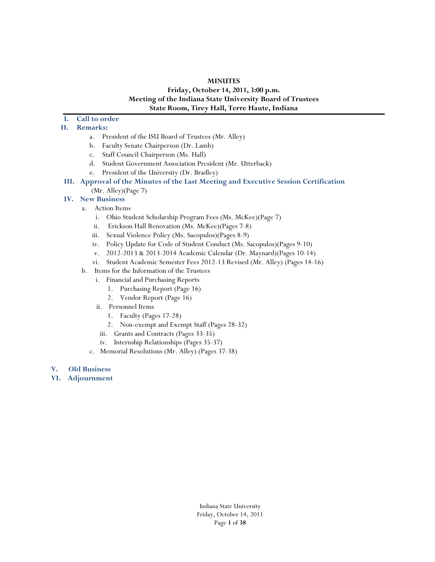#### **MINUTES**

### **Friday, October 14, 2011, 3:00 p.m. Meeting of the Indiana State University Board of Trustees State Room, Tirey Hall, Terre Haute, Indiana**

## **I. Call to order**

### **II. Remarks:**

- a. President of the ISU Board of Trustees (Mr. Alley)
- b. Faculty Senate Chairperson (Dr. Lamb)
- c. Staff Council Chairperson (Ms. Hall)
- d. Student Government Association President (Mr. Utterback)
- e. President of the University (Dr. Bradley)
- **III. Approval of the Minutes of the Last Meeting and Executive Session Certification**  (Mr. Alley)(Page 7)

### **IV. New Business**

- a. Action Items
	- i. Ohio Student Scholarship Program Fees (Ms. McKee)(Page 7)
	- ii. Erickson Hall Renovation (Ms. McKee)(Pages 7-8)
	- iii. Sexual Violence Policy (Ms. Sacopulos)(Pages 8-9)
	- iv. Policy Update for Code of Student Conduct (Ms. Sacopulos)(Pages 9-10)
	- v. 2012-2013 & 2013-2014 Academic Calendar (Dr. Maynard)(Pages 10-14)
	- vi. Student Academic Semester Fees 2012-13 Revised (Mr. Alley) (Pages 14-16)
- b. Items for the Information of the Trustees
	- i. Financial and Purchasing Reports
		- 1. Purchasing Report (Page 16)
		- 2. Vendor Report (Page 16)
	- ii. Personnel Items
		- 1. Faculty (Pages 17-28)
		- 2. Non-exempt and Exempt Staff (Pages 28-32)
	- iii. Grants and Contracts (Pages 33-35)
	- iv. Internship Relationships (Pages 35-37)
	- c. Memorial Resolutions (Mr. Alley) (Pages 37-38)
- **V. Old Business**
- **VI. Adjournment**

Indiana State University Friday, October 14, 2011 Page **1** of **38**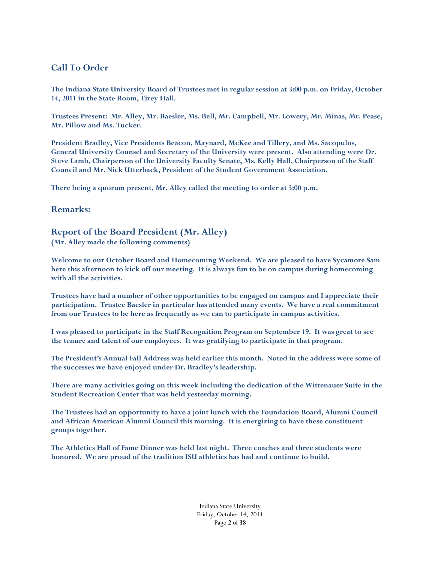## **Call To Order**

**The Indiana State University Board of Trustees met in regular session at 3:00 p.m. on Friday, October 14, 2011 in the State Room, Tirey Hall.** 

**Trustees Present: Mr. Alley, Mr. Baesler, Ms. Bell, Mr. Campbell, Mr. Lowery, Mr. Minas, Mr. Pease, Mr. Pillow and Ms. Tucker.** 

**President Bradley, Vice Presidents Beacon, Maynard, McKee and Tillery, and Ms. Sacopulos, General University Counsel and Secretary of the University were present. Also attending were Dr. Steve Lamb, Chairperson of the University Faculty Senate, Ms. Kelly Hall, Chairperson of the Staff Council and Mr. Nick Utterback, President of the Student Government Association.** 

**There being a quorum present, Mr. Alley called the meeting to order at 3:00 p.m.** 

## **Remarks:**

## **Report of the Board President (Mr. Alley)**

**(Mr. Alley made the following comments)** 

**Welcome to our October Board and Homecoming Weekend. We are pleased to have Sycamore Sam here this afternoon to kick off our meeting. It is always fun to be on campus during homecoming with all the activities.** 

**Trustees have had a number of other opportunities to be engaged on campus and I appreciate their participation. Trustee Baesler in particular has attended many events. We have a real commitment from our Trustees to be here as frequently as we can to participate in campus activities.** 

**I was pleased to participate in the Staff Recognition Program on September 19. It was great to see the tenure and talent of our employees. It was gratifying to participate in that program.** 

**The President's Annual Fall Address was held earlier this month. Noted in the address were some of the successes we have enjoyed under Dr. Bradley's leadership.** 

**There are many activities going on this week including the dedication of the Wittenauer Suite in the Student Recreation Center that was held yesterday morning.** 

**The Trustees had an opportunity to have a joint lunch with the Foundation Board, Alumni Council and African American Alumni Council this morning. It is energizing to have these constituent groups together.** 

**The Athletics Hall of Fame Dinner was held last night. Three coaches and three students were honored. We are proud of the tradition ISU athletics has had and continue to build.** 

> Indiana State University Friday, October 14, 2011 Page **2** of **38**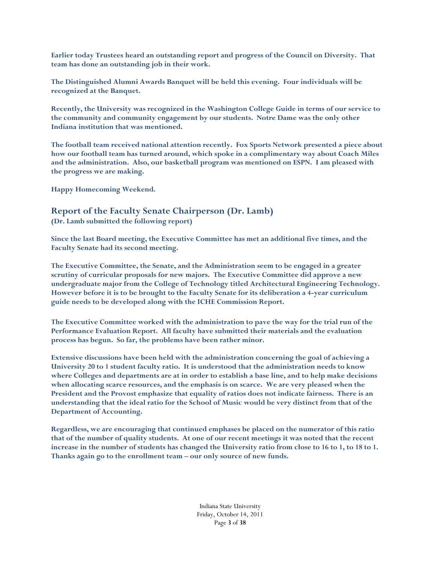**Earlier today Trustees heard an outstanding report and progress of the Council on Diversity. That team has done an outstanding job in their work.** 

**The Distinguished Alumni Awards Banquet will be held this evening. Four individuals will be recognized at the Banquet.** 

**Recently, the University was recognized in the Washington College Guide in terms of our service to the community and community engagement by our students. Notre Dame was the only other Indiana institution that was mentioned.** 

**The football team received national attention recently. Fox Sports Network presented a piece about how our football team has turned around, which spoke in a complimentary way about Coach Miles and the administration. Also, our basketball program was mentioned on ESPN. I am pleased with the progress we are making.** 

**Happy Homecoming Weekend.** 

# **Report of the Faculty Senate Chairperson (Dr. Lamb)**

**(Dr. Lamb submitted the following report)** 

**Since the last Board meeting, the Executive Committee has met an additional five times, and the Faculty Senate had its second meeting.** 

**The Executive Committee, the Senate, and the Administration seem to be engaged in a greater scrutiny of curricular proposals for new majors. The Executive Committee did approve a new undergraduate major from the College of Technology titled Architectural Engineering Technology. However before it is to be brought to the Faculty Senate for its deliberation a 4-year curriculum guide needs to be developed along with the ICHE Commission Report.** 

**The Executive Committee worked with the administration to pave the way for the trial run of the Performance Evaluation Report. All faculty have submitted their materials and the evaluation process has begun. So far, the problems have been rather minor.** 

**Extensive discussions have been held with the administration concerning the goal of achieving a University 20 to 1 student faculty ratio. It is understood that the administration needs to know where Colleges and departments are at in order to establish a base line, and to help make decisions when allocating scarce resources, and the emphasis is on scarce. We are very pleased when the President and the Provost emphasize that equality of ratios does not indicate fairness. There is an understanding that the ideal ratio for the School of Music would be very distinct from that of the Department of Accounting.** 

**Regardless, we are encouraging that continued emphases be placed on the numerator of this ratio that of the number of quality students. At one of our recent meetings it was noted that the recent increase in the number of students has changed the University ratio from close to 16 to 1, to 18 to 1. Thanks again go to the enrollment team – our only source of new funds.** 

> Indiana State University Friday, October 14, 2011 Page **3** of **38**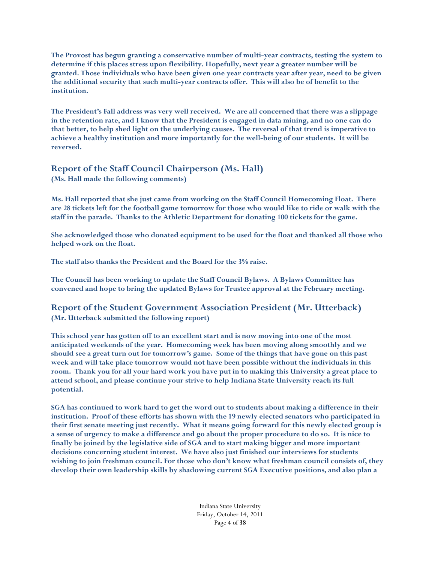**The Provost has begun granting a conservative number of multi-year contracts, testing the system to determine if this places stress upon flexibility. Hopefully, next year a greater number will be granted. Those individuals who have been given one year contracts year after year, need to be given the additional security that such multi-year contracts offer. This will also be of benefit to the institution.** 

**The President's Fall address was very well received. We are all concerned that there was a slippage in the retention rate, and I know that the President is engaged in data mining, and no one can do that better, to help shed light on the underlying causes. The reversal of that trend is imperative to achieve a healthy institution and more importantly for the well-being of our students. It will be reversed.** 

## **Report of the Staff Council Chairperson (Ms. Hall)**

**(Ms. Hall made the following comments)** 

**Ms. Hall reported that she just came from working on the Staff Council Homecoming Float. There are 28 tickets left for the football game tomorrow for those who would like to ride or walk with the staff in the parade. Thanks to the Athletic Department for donating 100 tickets for the game.** 

**She acknowledged those who donated equipment to be used for the float and thanked all those who helped work on the float.** 

**The staff also thanks the President and the Board for the 3% raise.** 

**The Council has been working to update the Staff Council Bylaws. A Bylaws Committee has convened and hope to bring the updated Bylaws for Trustee approval at the February meeting.** 

**Report of the Student Government Association President (Mr. Utterback) (Mr. Utterback submitted the following report)** 

**This school year has gotten off to an excellent start and is now moving into one of the most anticipated weekends of the year. Homecoming week has been moving along smoothly and we should see a great turn out for tomorrow's game. Some of the things that have gone on this past week and will take place tomorrow would not have been possible without the individuals in this room. Thank you for all your hard work you have put in to making this University a great place to attend school, and please continue your strive to help Indiana State University reach its full potential.** 

**SGA has continued to work hard to get the word out to students about making a difference in their institution. Proof of these efforts has shown with the 19 newly elected senators who participated in their first senate meeting just recently. What it means going forward for this newly elected group is a sense of urgency to make a difference and go about the proper procedure to do so. It is nice to finally be joined by the legislative side of SGA and to start making bigger and more important decisions concerning student interest. We have also just finished our interviews for students wishing to join freshman council. For those who don't know what freshman council consists of, they develop their own leadership skills by shadowing current SGA Executive positions, and also plan a** 

> Indiana State University Friday, October 14, 2011 Page **4** of **38**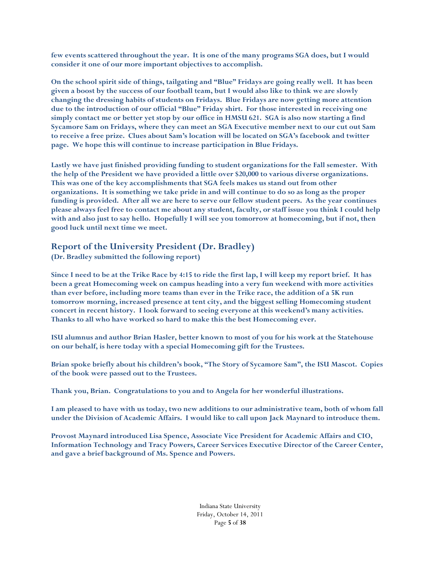**few events scattered throughout the year. It is one of the many programs SGA does, but I would consider it one of our more important objectives to accomplish.** 

**On the school spirit side of things, tailgating and "Blue" Fridays are going really well. It has been given a boost by the success of our football team, but I would also like to think we are slowly changing the dressing habits of students on Fridays. Blue Fridays are now getting more attention due to the introduction of our official "Blue" Friday shirt. For those interested in receiving one simply contact me or better yet stop by our office in HMSU 621. SGA is also now starting a find Sycamore Sam on Fridays, where they can meet an SGA Executive member next to our cut out Sam to receive a free prize. Clues about Sam's location will be located on SGA's facebook and twitter page. We hope this will continue to increase participation in Blue Fridays.** 

**Lastly we have just finished providing funding to student organizations for the Fall semester. With the help of the President we have provided a little over \$20,000 to various diverse organizations. This was one of the key accomplishments that SGA feels makes us stand out from other organizations. It is something we take pride in and will continue to do so as long as the proper funding is provided. After all we are here to serve our fellow student peers. As the year continues please always feel free to contact me about any student, faculty, or staff issue you think I could help with and also just to say hello. Hopefully I will see you tomorrow at homecoming, but if not, then good luck until next time we meet.** 

## **Report of the University President (Dr. Bradley)**

**(Dr. Bradley submitted the following report)** 

**Since I need to be at the Trike Race by 4:15 to ride the first lap, I will keep my report brief. It has been a great Homecoming week on campus heading into a very fun weekend with more activities than ever before, including more teams than ever in the Trike race, the addition of a 5K run tomorrow morning, increased presence at tent city, and the biggest selling Homecoming student concert in recent history. I look forward to seeing everyone at this weekend's many activities. Thanks to all who have worked so hard to make this the best Homecoming ever.** 

**ISU alumnus and author Brian Hasler, better known to most of you for his work at the Statehouse on our behalf, is here today with a special Homecoming gift for the Trustees.** 

**Brian spoke briefly about his children's book, "The Story of Sycamore Sam", the ISU Mascot. Copies of the book were passed out to the Trustees.** 

**Thank you, Brian. Congratulations to you and to Angela for her wonderful illustrations.** 

**I am pleased to have with us today, two new additions to our administrative team, both of whom fall under the Division of Academic Affairs. I would like to call upon Jack Maynard to introduce them.** 

**Provost Maynard introduced Lisa Spence, Associate Vice President for Academic Affairs and CIO, Information Technology and Tracy Powers, Career Services Executive Director of the Career Center, and gave a brief background of Ms. Spence and Powers.** 

> Indiana State University Friday, October 14, 2011 Page **5** of **38**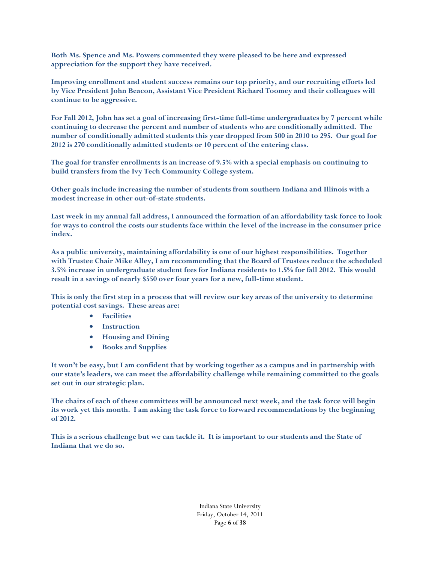**Both Ms. Spence and Ms. Powers commented they were pleased to be here and expressed appreciation for the support they have received.** 

**Improving enrollment and student success remains our top priority, and our recruiting efforts led by Vice President John Beacon, Assistant Vice President Richard Toomey and their colleagues will continue to be aggressive.** 

**For Fall 2012, John has set a goal of increasing first-time full-time undergraduates by 7 percent while continuing to decrease the percent and number of students who are conditionally admitted. The number of conditionally admitted students this year dropped from 500 in 2010 to 295. Our goal for 2012 is 270 conditionally admitted students or 10 percent of the entering class.** 

**The goal for transfer enrollments is an increase of 9.5% with a special emphasis on continuing to build transfers from the Ivy Tech Community College system.** 

**Other goals include increasing the number of students from southern Indiana and Illinois with a modest increase in other out-of-state students.** 

**Last week in my annual fall address, I announced the formation of an affordability task force to look for ways to control the costs our students face within the level of the increase in the consumer price index.** 

**As a public university, maintaining affordability is one of our highest responsibilities. Together with Trustee Chair Mike Alley, I am recommending that the Board of Trustees reduce the scheduled 3.5% increase in undergraduate student fees for Indiana residents to 1.5% for fall 2012. This would result in a savings of nearly \$550 over four years for a new, full-time student.** 

**This is only the first step in a process that will review our key areas of the university to determine potential cost savings. These areas are:** 

- **Facilities**
- **Instruction**
- **Housing and Dining**
- **Books and Supplies**

**It won't be easy, but I am confident that by working together as a campus and in partnership with our state's leaders, we can meet the affordability challenge while remaining committed to the goals set out in our strategic plan.** 

**The chairs of each of these committees will be announced next week, and the task force will begin its work yet this month. I am asking the task force to forward recommendations by the beginning of 2012.** 

**This is a serious challenge but we can tackle it. It is important to our students and the State of Indiana that we do so.** 

> Indiana State University Friday, October 14, 2011 Page **6** of **38**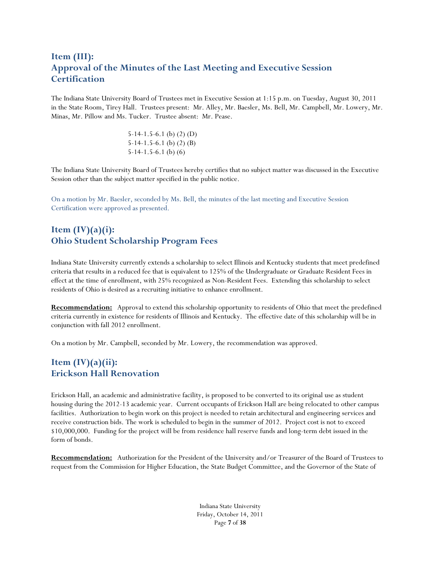# **Item (III): Approval of the Minutes of the Last Meeting and Executive Session Certification**

The Indiana State University Board of Trustees met in Executive Session at 1:15 p.m. on Tuesday, August 30, 2011 in the State Room, Tirey Hall. Trustees present: Mr. Alley, Mr. Baesler, Ms. Bell, Mr. Campbell, Mr. Lowery, Mr. Minas, Mr. Pillow and Ms. Tucker. Trustee absent: Mr. Pease.

> 5-14-1.5-6.1 (b) (2) (D) 5-14-1.5-6.1 (b) (2) (B) 5-14-1.5-6.1 (b) (6)

The Indiana State University Board of Trustees hereby certifies that no subject matter was discussed in the Executive Session other than the subject matter specified in the public notice.

On a motion by Mr. Baesler, seconded by Ms. Bell, the minutes of the last meeting and Executive Session Certification were approved as presented.

# **Item (IV)(a)(i): Ohio Student Scholarship Program Fees**

Indiana State University currently extends a scholarship to select Illinois and Kentucky students that meet predefined criteria that results in a reduced fee that is equivalent to 125% of the Undergraduate or Graduate Resident Fees in effect at the time of enrollment, with 25% recognized as Non-Resident Fees. Extending this scholarship to select residents of Ohio is desired as a recruiting initiative to enhance enrollment.

**Recommendation:** Approval to extend this scholarship opportunity to residents of Ohio that meet the predefined criteria currently in existence for residents of Illinois and Kentucky. The effective date of this scholarship will be in conjunction with fall 2012 enrollment.

On a motion by Mr. Campbell, seconded by Mr. Lowery, the recommendation was approved.

## **Item (IV)(a)(ii): Erickson Hall Renovation**

Erickson Hall, an academic and administrative facility, is proposed to be converted to its original use as student housing during the 2012-13 academic year. Current occupants of Erickson Hall are being relocated to other campus facilities. Authorization to begin work on this project is needed to retain architectural and engineering services and receive construction bids. The work is scheduled to begin in the summer of 2012. Project cost is not to exceed \$10,000,000. Funding for the project will be from residence hall reserve funds and long-term debt issued in the form of bonds.

**Recommendation:** Authorization for the President of the University and/or Treasurer of the Board of Trustees to request from the Commission for Higher Education, the State Budget Committee, and the Governor of the State of

> Indiana State University Friday, October 14, 2011 Page **7** of **38**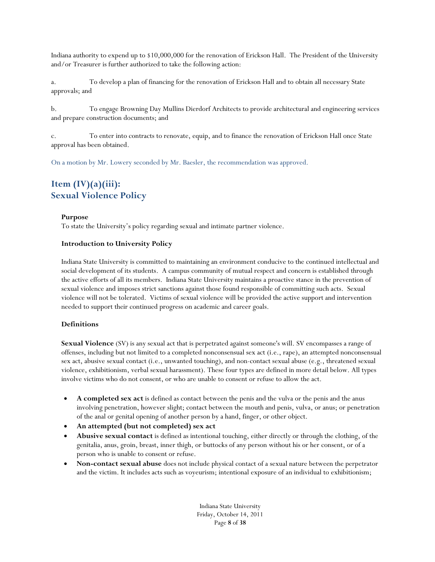Indiana authority to expend up to \$10,000,000 for the renovation of Erickson Hall. The President of the University and/or Treasurer is further authorized to take the following action:

a. To develop a plan of financing for the renovation of Erickson Hall and to obtain all necessary State approvals; and

b. To engage Browning Day Mullins Dierdorf Architects to provide architectural and engineering services and prepare construction documents; and

c. To enter into contracts to renovate, equip, and to finance the renovation of Erickson Hall once State approval has been obtained.

On a motion by Mr. Lowery seconded by Mr. Baesler, the recommendation was approved.

# **Item (IV)(a)(iii): Sexual Violence Policy**

#### **Purpose**

To state the University's policy regarding sexual and intimate partner violence.

### **Introduction to University Policy**

Indiana State University is committed to maintaining an environment conducive to the continued intellectual and social development of its students. A campus community of mutual respect and concern is established through the active efforts of all its members. Indiana State University maintains a proactive stance in the prevention of sexual violence and imposes strict sanctions against those found responsible of committing such acts. Sexual violence will not be tolerated. Victims of sexual violence will be provided the active support and intervention needed to support their continued progress on academic and career goals.

### **Definitions**

**Sexual Violence** (SV) is any sexual act that is perpetrated against someone's will. SV encompasses a range of offenses, including but not limited to a completed nonconsensual sex act (i.e., rape), an attempted nonconsensual sex act, abusive sexual contact (i.e., unwanted touching), and non-contact sexual abuse (e.g., threatened sexual violence, exhibitionism, verbal sexual harassment). These four types are defined in more detail below. All types involve victims who do not consent, or who are unable to consent or refuse to allow the act.

- **A completed sex act** is defined as contact between the penis and the vulva or the penis and the anus involving penetration, however slight; contact between the mouth and penis, vulva, or anus; or penetration of the anal or genital opening of another person by a hand, finger, or other object.
- **An attempted (but not completed) sex act**
- **Abusive sexual contact** is defined as intentional touching, either directly or through the clothing, of the genitalia, anus, groin, breast, inner thigh, or buttocks of any person without his or her consent, or of a person who is unable to consent or refuse.
- **Non-contact sexual abuse** does not include physical contact of a sexual nature between the perpetrator and the victim. It includes acts such as voyeurism; intentional exposure of an individual to exhibitionism;

Indiana State University Friday, October 14, 2011 Page **8** of **38**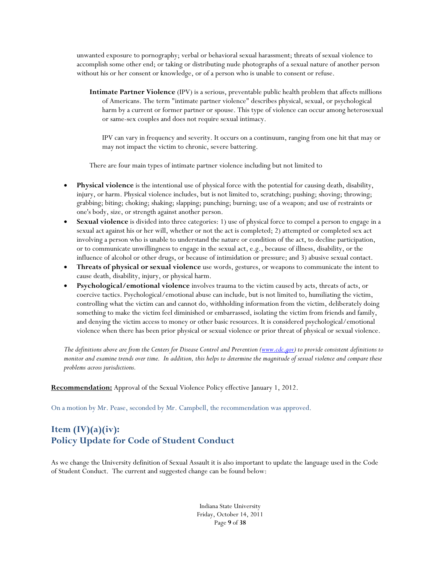unwanted exposure to pornography; verbal or behavioral sexual harassment; threats of sexual violence to accomplish some other end; or taking or distributing nude photographs of a sexual nature of another person without his or her consent or knowledge, or of a person who is unable to consent or refuse.

**Intimate Partner Violence** (IPV) is a serious, preventable public health problem that affects millions of Americans. The term "intimate partner violence" describes physical, sexual, or psychological harm by a current or former partner or spouse. This type of violence can occur among heterosexual or same-sex couples and does not require sexual intimacy.

IPV can vary in frequency and severity. It occurs on a continuum, ranging from one hit that may or may not impact the victim to chronic, severe battering.

There are four main types of intimate partner violence including but not limited to

- **Physical violence** is the intentional use of physical force with the potential for causing death, disability, injury, or harm. Physical violence includes, but is not limited to, scratching; pushing; shoving; throwing; grabbing; biting; choking; shaking; slapping; punching; burning; use of a weapon; and use of restraints or one's body, size, or strength against another person.
- **Sexual violence** is divided into three categories: 1) use of physical force to compel a person to engage in a sexual act against his or her will, whether or not the act is completed; 2) attempted or completed sex act involving a person who is unable to understand the nature or condition of the act, to decline participation, or to communicate unwillingness to engage in the sexual act, e.g., because of illness, disability, or the influence of alcohol or other drugs, or because of intimidation or pressure; and 3) abusive sexual contact.
- **Threats of physical or sexual violence** use words, gestures, or weapons to communicate the intent to cause death, disability, injury, or physical harm.
- **Psychological/emotional violence** involves trauma to the victim caused by acts, threats of acts, or coercive tactics. Psychological/emotional abuse can include, but is not limited to, humiliating the victim, controlling what the victim can and cannot do, withholding information from the victim, deliberately doing something to make the victim feel diminished or embarrassed, isolating the victim from friends and family, and denying the victim access to money or other basic resources. It is considered psychological/emotional violence when there has been prior physical or sexual violence or prior threat of physical or sexual violence.

*The definitions above are from the Centers for Disease Control and Prevention (www.cdc.gov) to provide consistent definitions to monitor and examine trends over time. In addition, this helps to determine the magnitude of sexual violence and compare these problems across jurisdictions.* 

**Recommendation:** Approval of the Sexual Violence Policy effective January 1, 2012.

On a motion by Mr. Pease, seconded by Mr. Campbell, the recommendation was approved.

# **Item (IV)(a)(iv): Policy Update for Code of Student Conduct**

As we change the University definition of Sexual Assault it is also important to update the language used in the Code of Student Conduct. The current and suggested change can be found below:

> Indiana State University Friday, October 14, 2011 Page **9** of **38**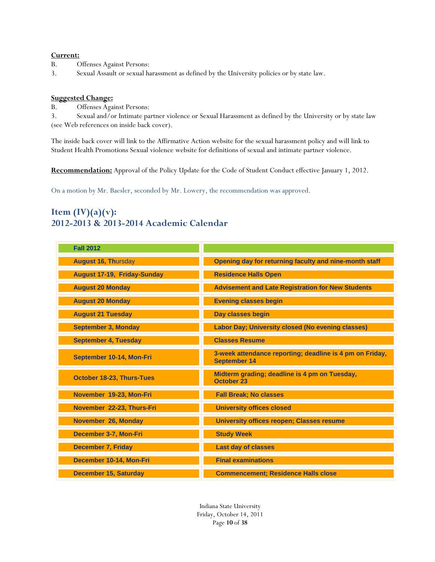### **Current:**

- B. Offenses Against Persons:
- 3. Sexual Assault or sexual harassment as defined by the University policies or by state law.

### **Suggested Change:**

B. Offenses Against Persons:

3. Sexual and/or Intimate partner violence or Sexual Harassment as defined by the University or by state law (see Web references on inside back cover).

The inside back cover will link to the Affirmative Action website for the sexual harassment policy and will link to Student Health Promotions Sexual violence website for definitions of sexual and intimate partner violence.

**Recommendation:** Approval of the Policy Update for the Code of Student Conduct effective January 1, 2012.

On a motion by Mr. Baesler, seconded by Mr. Lowery, the recommendation was approved.

# **Item (IV)(a)(v): 2012-2013 & 2013-2014 Academic Calendar**

| <b>Fall 2012</b>                   |                                                                                 |
|------------------------------------|---------------------------------------------------------------------------------|
| <b>August 16, Thursday</b>         | Opening day for returning faculty and nine-month staff                          |
| <b>August 17-19, Friday-Sunday</b> | <b>Residence Halls Open</b>                                                     |
| <b>August 20 Monday</b>            | <b>Advisement and Late Registration for New Students</b>                        |
| <b>August 20 Monday</b>            | <b>Evening classes begin</b>                                                    |
| <b>August 21 Tuesday</b>           | Day classes begin                                                               |
| <b>September 3, Monday</b>         | <b>Labor Day; University closed (No evening classes)</b>                        |
| <b>September 4, Tuesday</b>        | <b>Classes Resume</b>                                                           |
| September 10-14, Mon-Fri           | 3-week attendance reporting; deadline is 4 pm on Friday,<br><b>September 14</b> |
| <b>October 18-23, Thurs-Tues</b>   | Midterm grading; deadline is 4 pm on Tuesday,<br>October 23                     |
| November 19-23, Mon-Fri            | <b>Fall Break; No classes</b>                                                   |
| November 22-23, Thurs-Fri          | <b>University offices closed</b>                                                |
| November 26, Monday                | <b>University offices reopen; Classes resume</b>                                |
| <b>December 3-7, Mon-Fri</b>       | <b>Study Week</b>                                                               |
| <b>December 7, Friday</b>          | <b>Last day of classes</b>                                                      |
| December 10-14, Mon-Fri            | <b>Final examinations</b>                                                       |
| <b>December 15, Saturday</b>       | <b>Commencement: Residence Halls close</b>                                      |

Indiana State University Friday, October 14, 2011 Page **10** of **38**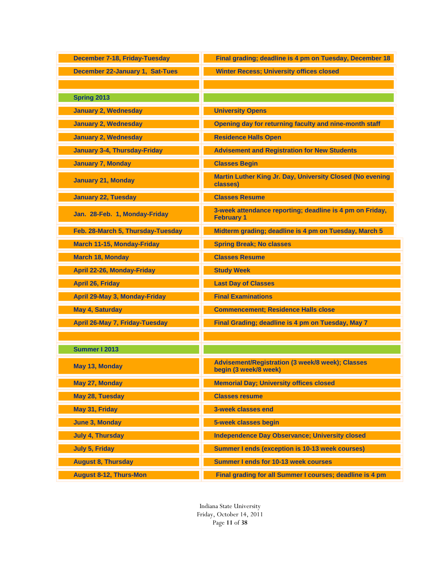| <b>December 7-18, Friday-Tuesday</b>   | Final grading; deadline is 4 pm on Tuesday, December 18                       |
|----------------------------------------|-------------------------------------------------------------------------------|
| <b>December 22-January 1, Sat-Tues</b> | <b>Winter Recess; University offices closed</b>                               |
|                                        |                                                                               |
| <b>Spring 2013</b>                     |                                                                               |
| <b>January 2, Wednesday</b>            | <b>University Opens</b>                                                       |
| <b>January 2, Wednesday</b>            | Opening day for returning faculty and nine-month staff                        |
| <b>January 2, Wednesday</b>            | <b>Residence Halls Open</b>                                                   |
| <b>January 3-4, Thursday-Friday</b>    | <b>Advisement and Registration for New Students</b>                           |
| <b>January 7, Monday</b>               | <b>Classes Begin</b>                                                          |
| <b>January 21, Monday</b>              | Martin Luther King Jr. Day, University Closed (No evening<br>classes)         |
| <b>January 22, Tuesday</b>             | <b>Classes Resume</b>                                                         |
| Jan. 28-Feb. 1, Monday-Friday          | 3-week attendance reporting; deadline is 4 pm on Friday,<br><b>February 1</b> |
| Feb. 28-March 5, Thursday-Tuesday      | Midterm grading; deadline is 4 pm on Tuesday, March 5                         |
| <b>March 11-15, Monday-Friday</b>      | <b>Spring Break; No classes</b>                                               |
| <b>March 18, Monday</b>                | <b>Classes Resume</b>                                                         |
| <b>April 22-26, Monday-Friday</b>      | <b>Study Week</b>                                                             |
| <b>April 26, Friday</b>                | <b>Last Day of Classes</b>                                                    |
| <b>April 29-May 3, Monday-Friday</b>   | <b>Final Examinations</b>                                                     |
| <b>May 4, Saturday</b>                 | <b>Commencement; Residence Halls close</b>                                    |
| April 26-May 7, Friday-Tuesday         | Final Grading; deadline is 4 pm on Tuesday, May 7                             |
|                                        |                                                                               |
| <b>Summer I 2013</b>                   |                                                                               |
| May 13, Monday                         | Advisement/Registration (3 week/8 week); Classes<br>begin (3 week/8 week)     |
| May 27, Monday                         | <b>Memorial Day; University offices closed</b>                                |
| May 28, Tuesday                        | <b>Classes resume</b>                                                         |
| May 31, Friday                         | <b>3-week classes end</b>                                                     |
| <b>June 3, Monday</b>                  | 5-week classes begin                                                          |
| <b>July 4, Thursday</b>                | <b>Independence Day Observance; University closed</b>                         |
| <b>July 5, Friday</b>                  | <b>Summer I ends (exception is 10-13 week courses)</b>                        |
| <b>August 8, Thursday</b>              | <b>Summer I ends for 10-13 week courses</b>                                   |
| <b>August 8-12, Thurs-Mon</b>          | Final grading for all Summer I courses; deadline is 4 pm                      |

Indiana State University Friday, October 14, 2011 Page **11** of **38**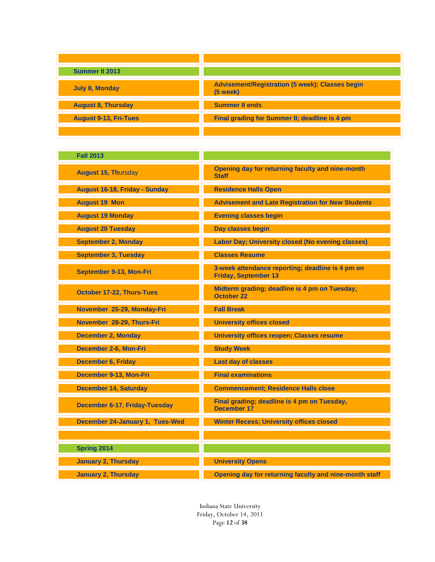| Summer II 2013               |                                                                    |
|------------------------------|--------------------------------------------------------------------|
| <b>July 8, Monday</b>        | <b>Advisement/Registration (5 week); Classes begin</b><br>(5 week) |
| <b>August 8, Thursday</b>    | <b>Summer II ends</b>                                              |
| <b>August 9-13, Fri-Tues</b> | Final grading for Summer II; deadline is 4 pm                      |
|                              |                                                                    |

| <b>Fall 2013</b>                     |                                                                                 |
|--------------------------------------|---------------------------------------------------------------------------------|
| <b>August 15, Thursday</b>           | Opening day for returning faculty and nine-month<br><b>Staff</b>                |
| August 16-18, Friday - Sunday        | <b>Residence Halls Open</b>                                                     |
| <b>August 19 Mon</b>                 | <b>Advisement and Late Registration for New Students</b>                        |
| <b>August 19 Monday</b>              | <b>Evening classes begin</b>                                                    |
| <b>August 20 Tuesday</b>             | Day classes begin                                                               |
| <b>September 2, Monday</b>           | <b>Labor Day; University closed (No evening classes)</b>                        |
| <b>September 3, Tuesday</b>          | <b>Classes Resume</b>                                                           |
| September 9-13, Mon-Fri              | 3-week attendance reporting; deadline is 4 pm on<br><b>Friday, September 13</b> |
| <b>October 17-22, Thurs-Tues</b>     | Midterm grading; deadline is 4 pm on Tuesday,<br><b>October 22</b>              |
| November 25-29, Monday-Fri           | <b>Fall Break</b>                                                               |
| November 28-29, Thurs-Fri            | <b>University offices closed</b>                                                |
| <b>December 2, Monday</b>            | <b>University offices reopen; Classes resume</b>                                |
| December 2-6, Mon-Fri                | <b>Study Week</b>                                                               |
| <b>December 6, Friday</b>            | <b>Last day of classes</b>                                                      |
| December 9-13, Mon-Fri               | <b>Final examinations</b>                                                       |
| <b>December 14, Saturday</b>         | <b>Commencement; Residence Halls close</b>                                      |
| <b>December 6-17, Friday-Tuesday</b> | Final grading; deadline is 4 pm on Tuesday,<br><b>December 17</b>               |
| December 24-January 1, Tues-Wed      | <b>Winter Recess; University offices closed</b>                                 |
|                                      |                                                                                 |
| Spring 2014                          |                                                                                 |
| <b>January 2, Thursday</b>           | <b>University Opens</b>                                                         |
| <b>January 2, Thursday</b>           | Opening day for returning faculty and nine-month staff                          |

Indiana State University Friday, October 14, 2011 Page **12** of **38**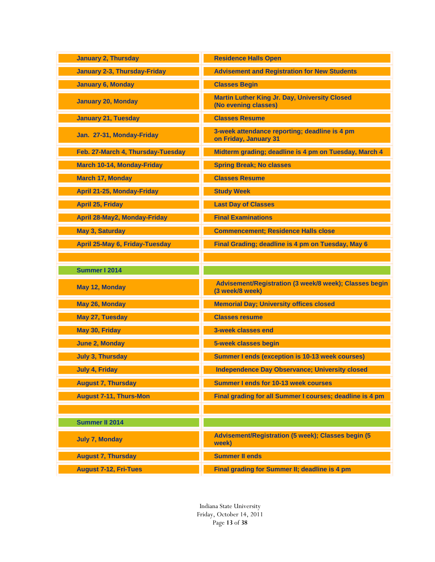| <b>January 2, Thursday</b>          | <b>Residence Halls Open</b>                                                  |
|-------------------------------------|------------------------------------------------------------------------------|
| <b>January 2-3, Thursday-Friday</b> | <b>Advisement and Registration for New Students</b>                          |
| <b>January 6, Monday</b>            | <b>Classes Begin</b>                                                         |
| <b>January 20, Monday</b>           | <b>Martin Luther King Jr. Day, University Closed</b><br>(No evening classes) |
| <b>January 21, Tuesday</b>          | <b>Classes Resume</b>                                                        |
| Jan. 27-31, Monday-Friday           | 3-week attendance reporting; deadline is 4 pm<br>on Friday, January 31       |
| Feb. 27-March 4, Thursday-Tuesday   | Midterm grading; deadline is 4 pm on Tuesday, March 4                        |
| <b>March 10-14, Monday-Friday</b>   | <b>Spring Break; No classes</b>                                              |
| <b>March 17, Monday</b>             | <b>Classes Resume</b>                                                        |
| <b>April 21-25, Monday-Friday</b>   | <b>Study Week</b>                                                            |
| <b>April 25, Friday</b>             | <b>Last Day of Classes</b>                                                   |
| April 28-May2, Monday-Friday        | <b>Final Examinations</b>                                                    |
| May 3, Saturday                     | <b>Commencement; Residence Halls close</b>                                   |
| April 25-May 6, Friday-Tuesday      | Final Grading; deadline is 4 pm on Tuesday, May 6                            |
|                                     |                                                                              |
| Summer I 2014                       |                                                                              |
|                                     |                                                                              |
| May 12, Monday                      | Advisement/Registration (3 week/8 week); Classes begin<br>(3 week/8 week)    |
| May 26, Monday                      | <b>Memorial Day; University offices closed</b>                               |
| May 27, Tuesday                     | <b>Classes resume</b>                                                        |
| May 30, Friday                      | 3-week classes end                                                           |
| <b>June 2, Monday</b>               | 5-week classes begin                                                         |
| <b>July 3, Thursday</b>             | <b>Summer I ends (exception is 10-13 week courses)</b>                       |
| <b>July 4, Friday</b>               | <b>Independence Day Observance; University closed</b>                        |
| <b>August 7, Thursday</b>           | <b>Summer I ends for 10-13 week courses</b>                                  |
| <b>August 7-11, Thurs-Mon</b>       | Final grading for all Summer I courses; deadline is 4 pm                     |
|                                     |                                                                              |
| Summer II 2014                      |                                                                              |
| <b>July 7, Monday</b>               | Advisement/Registration (5 week); Classes begin (5<br>week)                  |
| <b>August 7, Thursday</b>           | <b>Summer II ends</b>                                                        |

Indiana State University Friday, October 14, 2011 Page **13** of **38**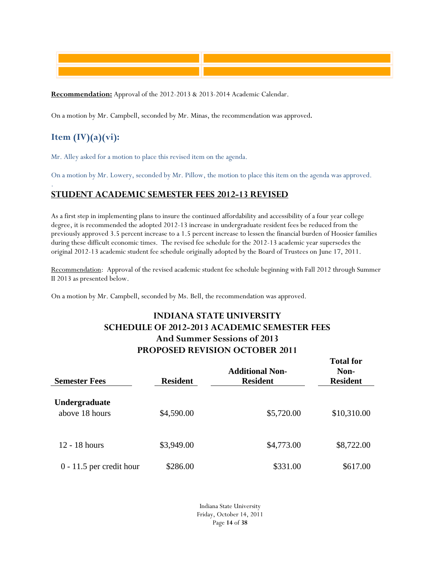**Recommendation:** Approval of the 2012-2013 & 2013-2014 Academic Calendar.

On a motion by Mr. Campbell, seconded by Mr. Minas, the recommendation was approved.

# **Item (IV)(a)(vi):**

.

Mr. Alley asked for a motion to place this revised item on the agenda.

On a motion by Mr. Lowery, seconded by Mr. Pillow, the motion to place this item on the agenda was approved.

## **STUDENT ACADEMIC SEMESTER FEES 2012-13 REVISED**

As a first step in implementing plans to insure the continued affordability and accessibility of a four year college degree, it is recommended the adopted 2012-13 increase in undergraduate resident fees be reduced from the previously approved 3.5 percent increase to a 1.5 percent increase to lessen the financial burden of Hoosier families during these difficult economic times. The revised fee schedule for the 2012-13 academic year supersedes the original 2012-13 academic student fee schedule originally adopted by the Board of Trustees on June 17, 2011.

Recommendation: Approval of the revised academic student fee schedule beginning with Fall 2012 through Summer II 2013 as presented below.

On a motion by Mr. Campbell, seconded by Ms. Bell, the recommendation was approved.

# **INDIANA STATE UNIVERSITY SCHEDULE OF 2012-2013 ACADEMIC SEMESTER FEES And Summer Sessions of 2013 PROPOSED REVISION OCTOBER 2011**

**Total for** 

| <b>Semester Fees</b>            | <b>Resident</b> | <b>Additional Non-</b><br><b>Resident</b> | 1 otal 10r<br>Non-<br><b>Resident</b> |
|---------------------------------|-----------------|-------------------------------------------|---------------------------------------|
| Undergraduate<br>above 18 hours | \$4,590.00      | \$5,720.00                                | \$10,310.00                           |
| 12 - 18 hours                   | \$3,949.00      | \$4,773.00                                | \$8,722.00                            |
| $0 - 11.5$ per credit hour      | \$286.00        | \$331.00                                  | \$617.00                              |

Indiana State University Friday, October 14, 2011 Page **14** of **38**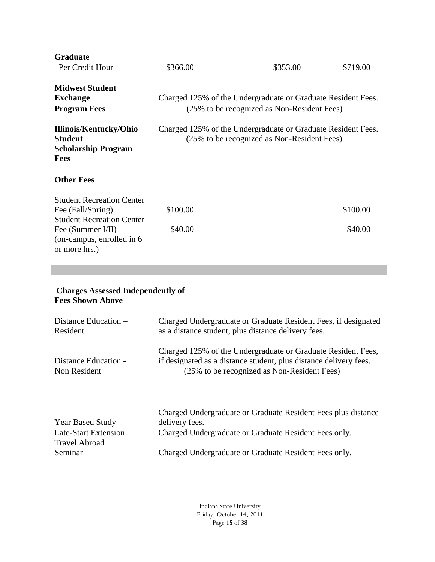| <b>Graduate</b>                                                                                                                              |                     |                                                                                                             |                     |
|----------------------------------------------------------------------------------------------------------------------------------------------|---------------------|-------------------------------------------------------------------------------------------------------------|---------------------|
| Per Credit Hour                                                                                                                              | \$366.00            | \$353.00                                                                                                    | \$719.00            |
| <b>Midwest Student</b><br><b>Exchange</b><br><b>Program Fees</b>                                                                             |                     | Charged 125% of the Undergraduate or Graduate Resident Fees.<br>(25% to be recognized as Non-Resident Fees) |                     |
| Illinois/Kentucky/Ohio<br>Student<br><b>Scholarship Program</b><br><b>Fees</b>                                                               |                     | Charged 125% of the Undergraduate or Graduate Resident Fees.<br>(25% to be recognized as Non-Resident Fees) |                     |
| <b>Other Fees</b>                                                                                                                            |                     |                                                                                                             |                     |
| <b>Student Recreation Center</b><br>Fee (Fall/Spring)<br><b>Student Recreation Center</b><br>Fee (Summer I/II)<br>(on-campus, enrolled in 6) | \$100.00<br>\$40.00 |                                                                                                             | \$100.00<br>\$40.00 |
| or more hrs.)                                                                                                                                |                     |                                                                                                             |                     |

## **Charges Assessed Independently of Fees Shown Above**

| Distance Education –<br>Resident                    | Charged Undergraduate or Graduate Resident Fees, if designated<br>as a distance student, plus distance delivery fees.                                                            |
|-----------------------------------------------------|----------------------------------------------------------------------------------------------------------------------------------------------------------------------------------|
| Distance Education -<br>Non Resident                | Charged 125% of the Undergraduate or Graduate Resident Fees,<br>if designated as a distance student, plus distance delivery fees.<br>(25% to be recognized as Non-Resident Fees) |
| <b>Year Based Study</b>                             | Charged Undergraduate or Graduate Resident Fees plus distance<br>delivery fees.                                                                                                  |
| <b>Late-Start Extension</b><br><b>Travel Abroad</b> | Charged Undergraduate or Graduate Resident Fees only.                                                                                                                            |
| Seminar                                             | Charged Undergraduate or Graduate Resident Fees only.                                                                                                                            |

Indiana State University Friday, October 14, 2011 Page **15** of **38**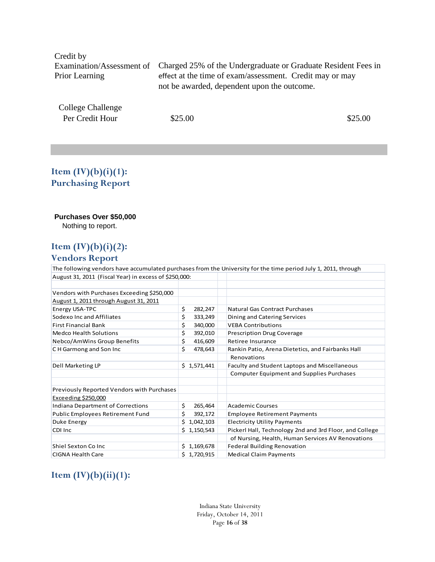| Credit by         |                                                                                                         |
|-------------------|---------------------------------------------------------------------------------------------------------|
|                   | Examination/Assessment of Charged 25% of the Undergraduate or Graduate Resident Fees in                 |
| Prior Learning    | effect at the time of exam/assessment. Credit may or may<br>not be awarded, dependent upon the outcome. |
| College Challenge |                                                                                                         |

Per Credit Hour \$25.00 \$25.00

**Item (IV)(b)(i)(1): Purchasing Report** 

#### **Purchases Over \$50,000**

Nothing to report.

# **Item (IV)(b)(i)(2): Vendors Report**

The following vendors have accumulated purchases from the University for the time period July 1, 2011, through

| August 31, 2011 (Fiscal Year) in excess of \$250,000: |                 |                                                         |
|-------------------------------------------------------|-----------------|---------------------------------------------------------|
|                                                       |                 |                                                         |
| Vendors with Purchases Exceeding \$250,000            |                 |                                                         |
| August 1, 2011 through August 31, 2011                |                 |                                                         |
| Energy USA-TPC                                        | \$<br>282,247   | Natural Gas Contract Purchases                          |
| Sodexo Inc and Affiliates                             | \$<br>333,249   | Dining and Catering Services                            |
| <b>First Financial Bank</b>                           | \$<br>340,000   | <b>VEBA Contributions</b>                               |
| <b>Medco Health Solutions</b>                         | \$<br>392,010   | <b>Prescription Drug Coverage</b>                       |
| Nebco/AmWins Group Benefits                           | \$<br>416,609   | Retiree Insurance                                       |
| CH Garmong and Son Inc                                | \$<br>478,643   | Rankin Patio, Arena Dietetics, and Fairbanks Hall       |
|                                                       |                 | Renovations                                             |
| Dell Marketing LP                                     | \$1,571,441     | Faculty and Student Laptops and Miscellaneous           |
|                                                       |                 | <b>Computer Equipment and Supplies Purchases</b>        |
|                                                       |                 |                                                         |
| Previously Reported Vendors with Purchases            |                 |                                                         |
| Exceeding \$250,000                                   |                 |                                                         |
| <b>Indiana Department of Corrections</b>              | \$<br>265,464   | Academic Courses                                        |
| Public Employees Retirement Fund                      | \$<br>392,172   | <b>Employee Retirement Payments</b>                     |
| Duke Energy                                           | Ś<br>1,042,103  | <b>Electricity Utility Payments</b>                     |
| CDI Inc                                               | Ś.<br>1,150,543 | Pickerl Hall, Technology 2nd and 3rd Floor, and College |
|                                                       |                 | of Nursing, Health, Human Services AV Renovations       |
| Shiel Sexton Co Inc.                                  | \$1,169,678     | <b>Federal Building Renovation</b>                      |
| <b>CIGNA Health Care</b>                              | \$1,720,915     | <b>Medical Claim Payments</b>                           |

# **Item (IV)(b)(ii)(1):**

Indiana State University Friday, October 14, 2011 Page **16** of **38**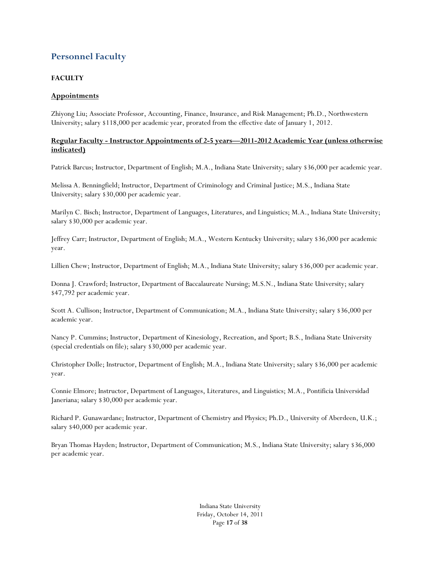# **Personnel Faculty**

## **FACULTY**

## **Appointments**

Zhiyong Liu; Associate Professor, Accounting, Finance, Insurance, and Risk Management; Ph.D., Northwestern University; salary \$118,000 per academic year, prorated from the effective date of January 1, 2012.

### **Regular Faculty - Instructor Appointments of 2-5 years—2011-2012 Academic Year (unless otherwise indicated)**

Patrick Barcus; Instructor, Department of English; M.A., Indiana State University; salary \$36,000 per academic year.

Melissa A. Benningfield; Instructor, Department of Criminology and Criminal Justice; M.S., Indiana State University; salary \$30,000 per academic year.

Marilyn C. Bisch; Instructor, Department of Languages, Literatures, and Linguistics; M.A., Indiana State University; salary \$30,000 per academic year.

Jeffrey Carr; Instructor, Department of English; M.A., Western Kentucky University; salary \$36,000 per academic year.

Lillien Chew; Instructor, Department of English; M.A., Indiana State University; salary \$36,000 per academic year.

Donna J. Crawford; Instructor, Department of Baccalaureate Nursing; M.S.N., Indiana State University; salary \$47,792 per academic year.

Scott A. Cullison; Instructor, Department of Communication; M.A., Indiana State University; salary \$36,000 per academic year.

Nancy P. Cummins; Instructor, Department of Kinesiology, Recreation, and Sport; B.S., Indiana State University (special credentials on file); salary \$30,000 per academic year.

Christopher Dolle; Instructor, Department of English; M.A., Indiana State University; salary \$36,000 per academic year.

Connie Elmore; Instructor, Department of Languages, Literatures, and Linguistics; M.A., Pontificia Universidad Janeriana; salary \$30,000 per academic year.

Richard P. Gunawardane; Instructor, Department of Chemistry and Physics; Ph.D., University of Aberdeen, U.K.; salary \$40,000 per academic year.

Bryan Thomas Hayden; Instructor, Department of Communication; M.S., Indiana State University; salary \$36,000 per academic year.

> Indiana State University Friday, October 14, 2011 Page **17** of **38**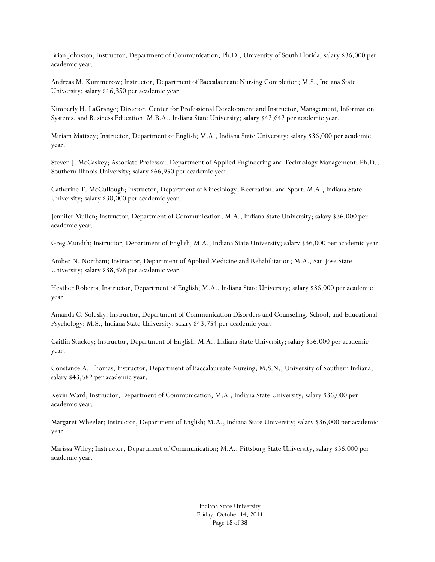Brian Johnston; Instructor, Department of Communication; Ph.D., University of South Florida; salary \$36,000 per academic year.

Andreas M. Kummerow; Instructor, Department of Baccalaureate Nursing Completion; M.S., Indiana State University; salary \$46,350 per academic year.

Kimberly H. LaGrange; Director, Center for Professional Development and Instructor, Management, Information Systems, and Business Education; M.B.A., Indiana State University; salary \$42,642 per academic year.

Miriam Mattsey; Instructor, Department of English; M.A., Indiana State University; salary \$36,000 per academic year.

Steven J. McCaskey; Associate Professor, Department of Applied Engineering and Technology Management; Ph.D., Southern Illinois University; salary \$66,950 per academic year.

Catherine T. McCullough; Instructor, Department of Kinesiology, Recreation, and Sport; M.A., Indiana State University; salary \$30,000 per academic year.

Jennifer Mullen; Instructor, Department of Communication; M.A., Indiana State University; salary \$36,000 per academic year.

Greg Mundth; Instructor, Department of English; M.A., Indiana State University; salary \$36,000 per academic year.

Amber N. Northam; Instructor, Department of Applied Medicine and Rehabilitation; M.A., San Jose State University; salary \$38,378 per academic year.

Heather Roberts; Instructor, Department of English; M.A., Indiana State University; salary \$36,000 per academic year.

Amanda C. Solesky; Instructor, Department of Communication Disorders and Counseling, School, and Educational Psychology; M.S., Indiana State University; salary \$43,754 per academic year.

Caitlin Stuckey; Instructor, Department of English; M.A., Indiana State University; salary \$36,000 per academic year.

Constance A. Thomas; Instructor, Department of Baccalaureate Nursing; M.S.N., University of Southern Indiana; salary \$43,582 per academic year.

Kevin Ward; Instructor, Department of Communication; M.A., Indiana State University; salary \$36,000 per academic year.

Margaret Wheeler; Instructor, Department of English; M.A., Indiana State University; salary \$36,000 per academic year.

Marissa Wiley; Instructor, Department of Communication; M.A., Pittsburg State University, salary \$36,000 per academic year.

> Indiana State University Friday, October 14, 2011 Page **18** of **38**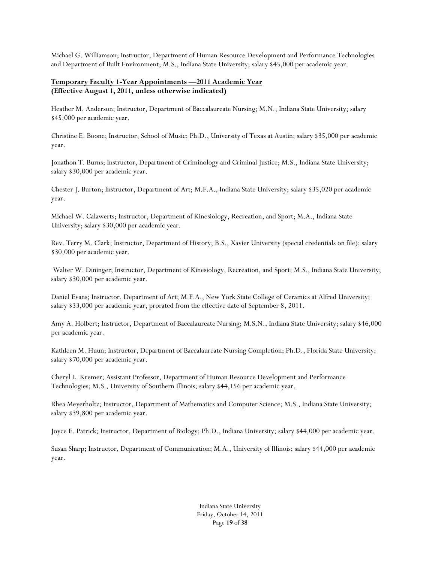Michael G. Williamson; Instructor, Department of Human Resource Development and Performance Technologies and Department of Built Environment; M.S., Indiana State University; salary \$45,000 per academic year.

### **Temporary Faculty 1-Year Appointments —2011 Academic Year (Effective August 1, 2011, unless otherwise indicated)**

Heather M. Anderson; Instructor, Department of Baccalaureate Nursing; M.N., Indiana State University; salary \$45,000 per academic year.

Christine E. Boone; Instructor, School of Music; Ph.D., University of Texas at Austin; salary \$35,000 per academic year.

Jonathon T. Burns; Instructor, Department of Criminology and Criminal Justice; M.S., Indiana State University; salary \$30,000 per academic year.

Chester J. Burton; Instructor, Department of Art; M.F.A., Indiana State University; salary \$35,020 per academic year.

Michael W. Calawerts; Instructor, Department of Kinesiology, Recreation, and Sport; M.A., Indiana State University; salary \$30,000 per academic year.

Rev. Terry M. Clark; Instructor, Department of History; B.S., Xavier University (special credentials on file); salary \$30,000 per academic year.

 Walter W. Dininger; Instructor, Department of Kinesiology, Recreation, and Sport; M.S., Indiana State University; salary \$30,000 per academic year.

Daniel Evans; Instructor, Department of Art; M.F.A., New York State College of Ceramics at Alfred University; salary \$33,000 per academic year, prorated from the effective date of September 8, 2011.

Amy A. Holbert; Instructor, Department of Baccalaureate Nursing; M.S.N., Indiana State University; salary \$46,000 per academic year.

Kathleen M. Huun; Instructor, Department of Baccalaureate Nursing Completion; Ph.D., Florida State University; salary \$70,000 per academic year.

Cheryl L. Kremer; Assistant Professor, Department of Human Resource Development and Performance Technologies; M.S., University of Southern Illinois; salary \$44,156 per academic year.

Rhea Meyerholtz; Instructor, Department of Mathematics and Computer Science; M.S., Indiana State University; salary \$39,800 per academic year.

Joyce E. Patrick; Instructor, Department of Biology; Ph.D., Indiana University; salary \$44,000 per academic year.

Susan Sharp; Instructor, Department of Communication; M.A., University of Illinois; salary \$44,000 per academic year.

> Indiana State University Friday, October 14, 2011 Page **19** of **38**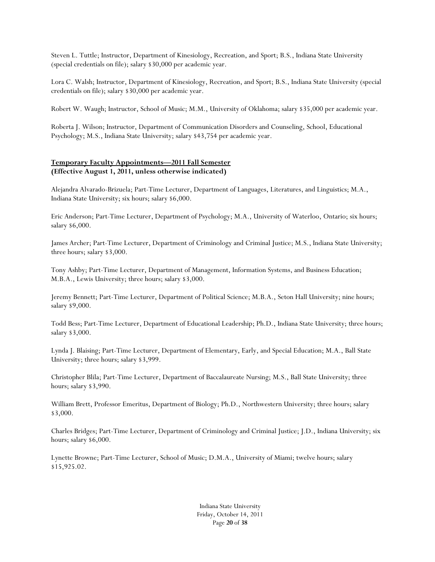Steven L. Tuttle; Instructor, Department of Kinesiology, Recreation, and Sport; B.S., Indiana State University (special credentials on file); salary \$30,000 per academic year.

Lora C. Walsh; Instructor, Department of Kinesiology, Recreation, and Sport; B.S., Indiana State University (special credentials on file); salary \$30,000 per academic year.

Robert W. Waugh; Instructor, School of Music; M.M., University of Oklahoma; salary \$35,000 per academic year.

Roberta J. Wilson; Instructor, Department of Communication Disorders and Counseling, School, Educational Psychology; M.S., Indiana State University; salary \$43,754 per academic year.

### **Temporary Faculty Appointments—2011 Fall Semester (Effective August 1, 2011, unless otherwise indicated)**

Alejandra Alvarado-Brizuela; Part-Time Lecturer, Department of Languages, Literatures, and Linguistics; M.A., Indiana State University; six hours; salary \$6,000.

Eric Anderson; Part-Time Lecturer, Department of Psychology; M.A., University of Waterloo, Ontario; six hours; salary \$6,000.

James Archer; Part-Time Lecturer, Department of Criminology and Criminal Justice; M.S., Indiana State University; three hours; salary \$3,000.

Tony Ashby; Part-Time Lecturer, Department of Management, Information Systems, and Business Education; M.B.A., Lewis University; three hours; salary \$3,000.

Jeremy Bennett; Part-Time Lecturer, Department of Political Science; M.B.A., Seton Hall University; nine hours; salary \$9,000.

Todd Bess; Part-Time Lecturer, Department of Educational Leadership; Ph.D., Indiana State University; three hours; salary \$3,000.

Lynda J. Blaising; Part-Time Lecturer, Department of Elementary, Early, and Special Education; M.A., Ball State University; three hours; salary \$3,999.

Christopher Blila; Part-Time Lecturer, Department of Baccalaureate Nursing; M.S., Ball State University; three hours; salary \$3,990.

William Brett, Professor Emeritus, Department of Biology; Ph.D., Northwestern University; three hours; salary \$3,000.

Charles Bridges; Part-Time Lecturer, Department of Criminology and Criminal Justice; J.D., Indiana University; six hours; salary \$6,000.

Lynette Browne; Part-Time Lecturer, School of Music; D.M.A., University of Miami; twelve hours; salary \$15,925.02.

> Indiana State University Friday, October 14, 2011 Page **20** of **38**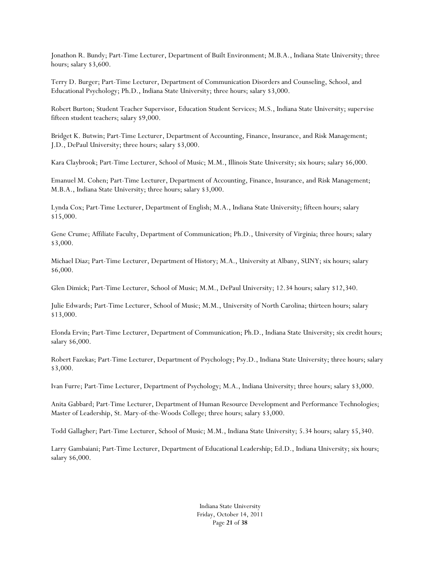Jonathon R. Bundy; Part-Time Lecturer, Department of Built Environment; M.B.A., Indiana State University; three hours; salary \$3,600.

Terry D. Burger; Part-Time Lecturer, Department of Communication Disorders and Counseling, School, and Educational Psychology; Ph.D., Indiana State University; three hours; salary \$3,000.

Robert Burton; Student Teacher Supervisor, Education Student Services; M.S., Indiana State University; supervise fifteen student teachers; salary \$9,000.

Bridget K. Butwin; Part-Time Lecturer, Department of Accounting, Finance, Insurance, and Risk Management; J.D., DePaul University; three hours; salary \$3,000.

Kara Claybrook; Part-Time Lecturer, School of Music; M.M., Illinois State University; six hours; salary \$6,000.

Emanuel M. Cohen; Part-Time Lecturer, Department of Accounting, Finance, Insurance, and Risk Management; M.B.A., Indiana State University; three hours; salary \$3,000.

Lynda Cox; Part-Time Lecturer, Department of English; M.A., Indiana State University; fifteen hours; salary \$15,000.

Gene Crume; Affiliate Faculty, Department of Communication; Ph.D., University of Virginia; three hours; salary \$3,000.

Michael Diaz; Part-Time Lecturer, Department of History; M.A., University at Albany, SUNY; six hours; salary \$6,000.

Glen Dimick; Part-Time Lecturer, School of Music; M.M., DePaul University; 12.34 hours; salary \$12,340.

Julie Edwards; Part-Time Lecturer, School of Music; M.M., University of North Carolina; thirteen hours; salary \$13,000.

Elonda Ervin; Part-Time Lecturer, Department of Communication; Ph.D., Indiana State University; six credit hours; salary \$6,000.

Robert Fazekas; Part-Time Lecturer, Department of Psychology; Psy.D., Indiana State University; three hours; salary \$3,000.

Ivan Furre; Part-Time Lecturer, Department of Psychology; M.A., Indiana University; three hours; salary \$3,000.

Anita Gabbard; Part-Time Lecturer, Department of Human Resource Development and Performance Technologies; Master of Leadership, St. Mary-of-the-Woods College; three hours; salary \$3,000.

Todd Gallagher; Part-Time Lecturer, School of Music; M.M., Indiana State University; 5.34 hours; salary \$5,340.

Larry Gambaiani; Part-Time Lecturer, Department of Educational Leadership; Ed.D., Indiana University; six hours; salary \$6,000.

> Indiana State University Friday, October 14, 2011 Page **21** of **38**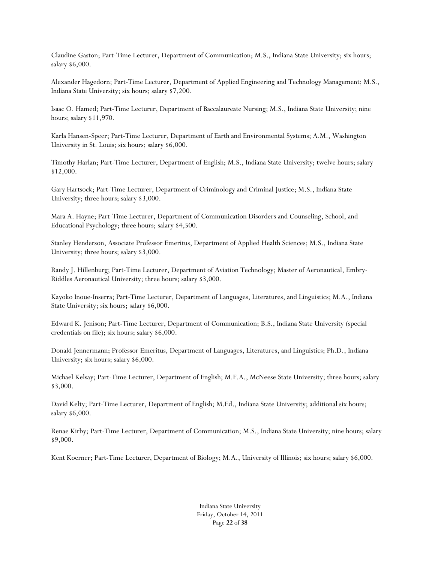Claudine Gaston; Part-Time Lecturer, Department of Communication; M.S., Indiana State University; six hours; salary \$6,000.

Alexander Hagedorn; Part-Time Lecturer, Department of Applied Engineering and Technology Management; M.S., Indiana State University; six hours; salary \$7,200.

Isaac O. Hamed; Part-Time Lecturer, Department of Baccalaureate Nursing; M.S., Indiana State University; nine hours; salary \$11,970.

Karla Hansen-Speer; Part-Time Lecturer, Department of Earth and Environmental Systems; A.M., Washington University in St. Louis; six hours; salary \$6,000.

Timothy Harlan; Part-Time Lecturer, Department of English; M.S., Indiana State University; twelve hours; salary \$12,000.

Gary Hartsock; Part-Time Lecturer, Department of Criminology and Criminal Justice; M.S., Indiana State University; three hours; salary \$3,000.

Mara A. Hayne; Part-Time Lecturer, Department of Communication Disorders and Counseling, School, and Educational Psychology; three hours; salary \$4,500.

Stanley Henderson, Associate Professor Emeritus, Department of Applied Health Sciences; M.S., Indiana State University; three hours; salary \$3,000.

Randy J. Hillenburg; Part-Time Lecturer, Department of Aviation Technology; Master of Aeronautical, Embry-Riddles Aeronautical University; three hours; salary \$3,000.

Kayoko Inoue-Inserra; Part-Time Lecturer, Department of Languages, Literatures, and Linguistics; M.A., Indiana State University; six hours; salary \$6,000.

Edward K. Jenison; Part-Time Lecturer, Department of Communication; B.S., Indiana State University (special credentials on file); six hours; salary \$6,000.

Donald Jennermann; Professor Emeritus, Department of Languages, Literatures, and Linguistics; Ph.D., Indiana University; six hours; salary \$6,000.

Michael Kelsay; Part-Time Lecturer, Department of English; M.F.A., McNeese State University; three hours; salary \$3,000.

David Kelty; Part-Time Lecturer, Department of English; M.Ed., Indiana State University; additional six hours; salary \$6,000.

Renae Kirby; Part-Time Lecturer, Department of Communication; M.S., Indiana State University; nine hours; salary \$9,000.

Kent Koerner; Part-Time Lecturer, Department of Biology; M.A., University of Illinois; six hours; salary \$6,000.

Indiana State University Friday, October 14, 2011 Page **22** of **38**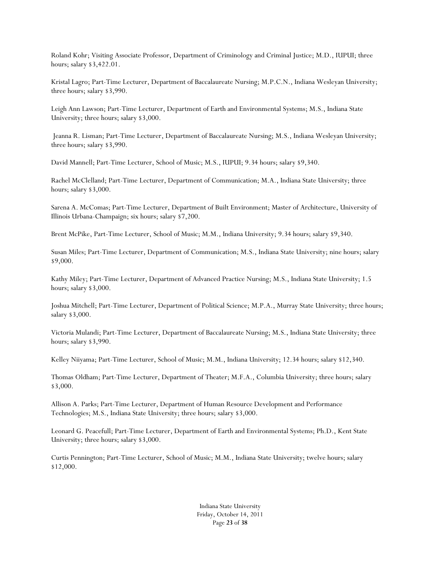Roland Kohr; Visiting Associate Professor, Department of Criminology and Criminal Justice; M.D., IUPUI; three hours; salary \$3,422.01.

Kristal Lagro; Part-Time Lecturer, Department of Baccalaureate Nursing; M.P.C.N., Indiana Wesleyan University; three hours; salary \$3,990.

Leigh Ann Lawson; Part-Time Lecturer, Department of Earth and Environmental Systems; M.S., Indiana State University; three hours; salary \$3,000.

 Jeanna R. Lisman; Part-Time Lecturer, Department of Baccalaureate Nursing; M.S., Indiana Wesleyan University; three hours; salary \$3,990.

David Mannell; Part-Time Lecturer, School of Music; M.S., IUPUI; 9.34 hours; salary \$9,340.

Rachel McClelland; Part-Time Lecturer, Department of Communication; M.A., Indiana State University; three hours; salary \$3,000.

Sarena A. McComas; Part-Time Lecturer, Department of Built Environment; Master of Architecture, University of Illinois Urbana-Champaign; six hours; salary \$7,200.

Brent McPike, Part-Time Lecturer, School of Music; M.M., Indiana University; 9.34 hours; salary \$9,340.

Susan Miles; Part-Time Lecturer, Department of Communication; M.S., Indiana State University; nine hours; salary \$9,000.

Kathy Miley; Part-Time Lecturer, Department of Advanced Practice Nursing; M.S., Indiana State University; 1.5 hours; salary \$3,000.

Joshua Mitchell; Part-Time Lecturer, Department of Political Science; M.P.A., Murray State University; three hours; salary \$3,000.

Victoria Mulandi; Part-Time Lecturer, Department of Baccalaureate Nursing; M.S., Indiana State University; three hours; salary \$3,990.

Kelley Niiyama; Part-Time Lecturer, School of Music; M.M., Indiana University; 12.34 hours; salary \$12,340.

Thomas Oldham; Part-Time Lecturer, Department of Theater; M.F.A., Columbia University; three hours; salary \$3,000.

Allison A. Parks; Part-Time Lecturer, Department of Human Resource Development and Performance Technologies; M.S., Indiana State University; three hours; salary \$3,000.

Leonard G. Peacefull; Part-Time Lecturer, Department of Earth and Environmental Systems; Ph.D., Kent State University; three hours; salary \$3,000.

Curtis Pennington; Part-Time Lecturer, School of Music; M.M., Indiana State University; twelve hours; salary \$12,000.

> Indiana State University Friday, October 14, 2011 Page **23** of **38**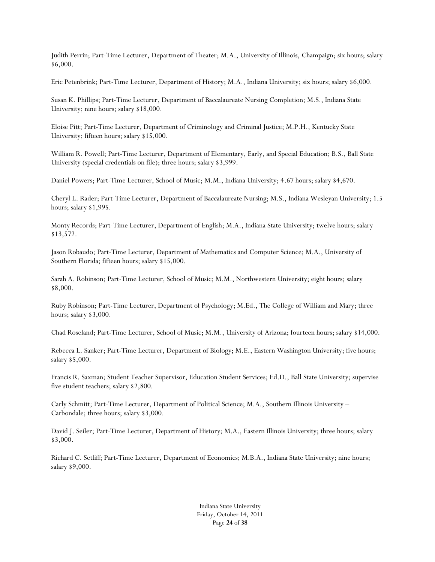Judith Perrin; Part-Time Lecturer, Department of Theater; M.A., University of Illinois, Champaign; six hours; salary \$6,000.

Eric Petenbrink; Part-Time Lecturer, Department of History; M.A., Indiana University; six hours; salary \$6,000.

Susan K. Phillips; Part-Time Lecturer, Department of Baccalaureate Nursing Completion; M.S., Indiana State University; nine hours; salary \$18,000.

Eloise Pitt; Part-Time Lecturer, Department of Criminology and Criminal Justice; M.P.H., Kentucky State University; fifteen hours; salary \$15,000.

William R. Powell; Part-Time Lecturer, Department of Elementary, Early, and Special Education; B.S., Ball State University (special credentials on file); three hours; salary \$3,999.

Daniel Powers; Part-Time Lecturer, School of Music; M.M., Indiana University; 4.67 hours; salary \$4,670.

Cheryl L. Rader; Part-Time Lecturer, Department of Baccalaureate Nursing; M.S., Indiana Wesleyan University; 1.5 hours; salary \$1,995.

Monty Records; Part-Time Lecturer, Department of English; M.A., Indiana State University; twelve hours; salary \$13,572.

Jason Robaudo; Part-Time Lecturer, Department of Mathematics and Computer Science; M.A., University of Southern Florida; fifteen hours; salary \$15,000.

Sarah A. Robinson; Part-Time Lecturer, School of Music; M.M., Northwestern University; eight hours; salary \$8,000.

Ruby Robinson; Part-Time Lecturer, Department of Psychology; M.Ed., The College of William and Mary; three hours; salary \$3,000.

Chad Roseland; Part-Time Lecturer, School of Music; M.M., University of Arizona; fourteen hours; salary \$14,000.

Rebecca L. Sanker; Part-Time Lecturer, Department of Biology; M.E., Eastern Washington University; five hours; salary \$5,000.

Francis R. Saxman; Student Teacher Supervisor, Education Student Services; Ed.D., Ball State University; supervise five student teachers; salary \$2,800.

Carly Schmitt; Part-Time Lecturer, Department of Political Science; M.A., Southern Illinois University – Carbondale; three hours; salary \$3,000.

David J. Seiler; Part-Time Lecturer, Department of History; M.A., Eastern Illinois University; three hours; salary \$3,000.

Richard C. Setliff; Part-Time Lecturer, Department of Economics; M.B.A., Indiana State University; nine hours; salary \$9,000.

> Indiana State University Friday, October 14, 2011 Page **24** of **38**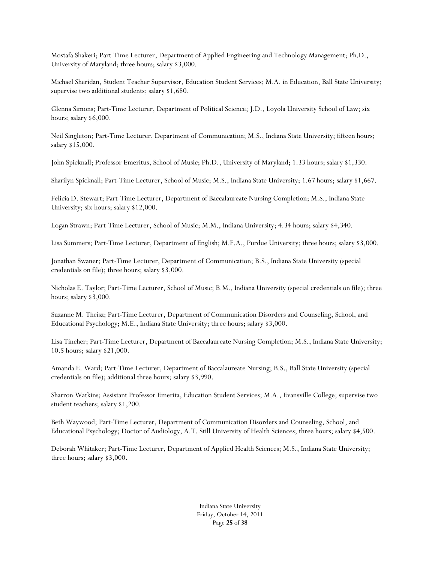Mostafa Shakeri; Part-Time Lecturer, Department of Applied Engineering and Technology Management; Ph.D., University of Maryland; three hours; salary \$3,000.

Michael Sheridan, Student Teacher Supervisor, Education Student Services; M.A. in Education, Ball State University; supervise two additional students; salary \$1,680.

Glenna Simons; Part-Time Lecturer, Department of Political Science; J.D., Loyola University School of Law; six hours; salary \$6,000.

Neil Singleton; Part-Time Lecturer, Department of Communication; M.S., Indiana State University; fifteen hours; salary \$15,000.

John Spicknall; Professor Emeritus, School of Music; Ph.D., University of Maryland; 1.33 hours; salary \$1,330.

Sharilyn Spicknall; Part-Time Lecturer, School of Music; M.S., Indiana State University; 1.67 hours; salary \$1,667.

Felicia D. Stewart; Part-Time Lecturer, Department of Baccalaureate Nursing Completion; M.S., Indiana State University; six hours; salary \$12,000.

Logan Strawn; Part-Time Lecturer, School of Music; M.M., Indiana University; 4.34 hours; salary \$4,340.

Lisa Summers; Part-Time Lecturer, Department of English; M.F.A., Purdue University; three hours; salary \$3,000.

Jonathan Swaner; Part-Time Lecturer, Department of Communication; B.S., Indiana State University (special credentials on file); three hours; salary \$3,000.

Nicholas E. Taylor; Part-Time Lecturer, School of Music; B.M., Indiana University (special credentials on file); three hours; salary \$3,000.

Suzanne M. Theisz; Part-Time Lecturer, Department of Communication Disorders and Counseling, School, and Educational Psychology; M.E., Indiana State University; three hours; salary \$3,000.

Lisa Tincher; Part-Time Lecturer, Department of Baccalaureate Nursing Completion; M.S., Indiana State University; 10.5 hours; salary \$21,000.

Amanda E. Ward; Part-Time Lecturer, Department of Baccalaureate Nursing; B.S., Ball State University (special credentials on file); additional three hours; salary \$3,990.

Sharron Watkins; Assistant Professor Emerita, Education Student Services; M.A., Evansville College; supervise two student teachers; salary \$1,200.

Beth Waywood; Part-Time Lecturer, Department of Communication Disorders and Counseling, School, and Educational Psychology; Doctor of Audiology, A.T. Still University of Health Sciences; three hours; salary \$4,500.

Deborah Whitaker; Part-Time Lecturer, Department of Applied Health Sciences; M.S., Indiana State University; three hours; salary \$3,000.

> Indiana State University Friday, October 14, 2011 Page **25** of **38**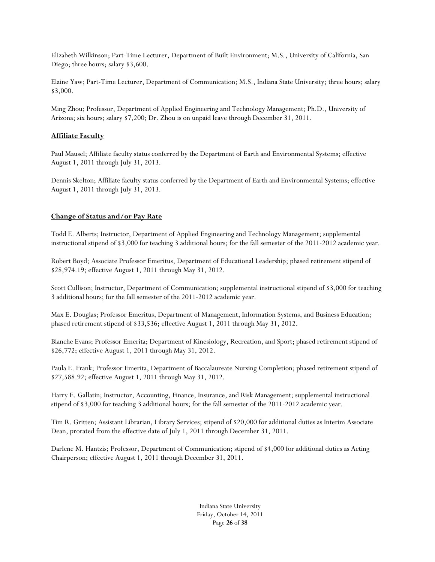Elizabeth Wilkinson; Part-Time Lecturer, Department of Built Environment; M.S., University of California, San Diego; three hours; salary \$3,600.

Elaine Yaw; Part-Time Lecturer, Department of Communication; M.S., Indiana State University; three hours; salary \$3,000.

Ming Zhou; Professor, Department of Applied Engineering and Technology Management; Ph.D., University of Arizona; six hours; salary \$7,200; Dr. Zhou is on unpaid leave through December 31, 2011.

### **Affiliate Faculty**

Paul Mausel; Affiliate faculty status conferred by the Department of Earth and Environmental Systems; effective August 1, 2011 through July 31, 2013.

Dennis Skelton; Affiliate faculty status conferred by the Department of Earth and Environmental Systems; effective August 1, 2011 through July 31, 2013.

### **Change of Status and/or Pay Rate**

Todd E. Alberts; Instructor, Department of Applied Engineering and Technology Management; supplemental instructional stipend of \$3,000 for teaching 3 additional hours; for the fall semester of the 2011-2012 academic year.

Robert Boyd; Associate Professor Emeritus, Department of Educational Leadership; phased retirement stipend of \$28,974.19; effective August 1, 2011 through May 31, 2012.

Scott Cullison; Instructor, Department of Communication; supplemental instructional stipend of \$3,000 for teaching 3 additional hours; for the fall semester of the 2011-2012 academic year.

Max E. Douglas; Professor Emeritus, Department of Management, Information Systems, and Business Education; phased retirement stipend of \$33,536; effective August 1, 2011 through May 31, 2012.

Blanche Evans; Professor Emerita; Department of Kinesiology, Recreation, and Sport; phased retirement stipend of \$26,772; effective August 1, 2011 through May 31, 2012.

Paula E. Frank; Professor Emerita, Department of Baccalaureate Nursing Completion; phased retirement stipend of \$27,588.92; effective August 1, 2011 through May 31, 2012.

Harry E. Gallatin; Instructor, Accounting, Finance, Insurance, and Risk Management; supplemental instructional stipend of \$3,000 for teaching 3 additional hours; for the fall semester of the 2011-2012 academic year.

Tim R. Gritten; Assistant Librarian, Library Services; stipend of \$20,000 for additional duties as Interim Associate Dean, prorated from the effective date of July 1, 2011 through December 31, 2011.

Darlene M. Hantzis; Professor, Department of Communication; stipend of \$4,000 for additional duties as Acting Chairperson; effective August 1, 2011 through December 31, 2011.

> Indiana State University Friday, October 14, 2011 Page **26** of **38**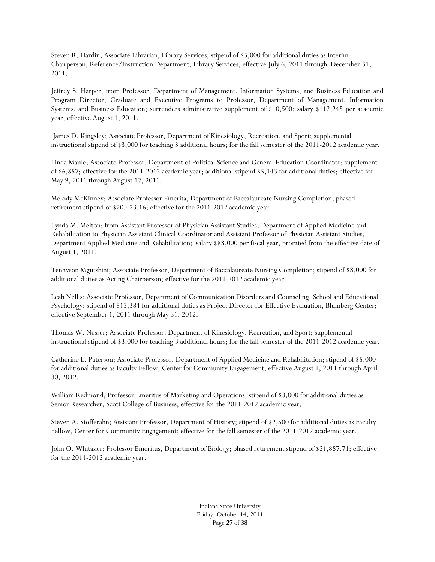Steven R. Hardin; Associate Librarian, Library Services; stipend of \$5,000 for additional duties as Interim Chairperson, Reference/Instruction Department, Library Services; effective July 6, 2011 through December 31, 2011.

Jeffrey S. Harper; from Professor, Department of Management, Information Systems, and Business Education and Program Director, Graduate and Executive Programs to Professor, Department of Management, Information Systems, and Business Education; surrenders administrative supplement of \$10,500; salary \$112,245 per academic year; effective August 1, 2011.

 James D. Kingsley; Associate Professor, Department of Kinesiology, Recreation, and Sport; supplemental instructional stipend of \$3,000 for teaching 3 additional hours; for the fall semester of the 2011-2012 academic year.

Linda Maule; Associate Professor, Department of Political Science and General Education Coordinator; supplement of \$6,857; effective for the 2011-2012 academic year; additional stipend \$5,143 for additional duties; effective for May 9, 2011 through August 17, 2011.

Melody McKinney; Associate Professor Emerita, Department of Baccalaureate Nursing Completion; phased retirement stipend of \$20,423.16; effective for the 2011-2012 academic year.

Lynda M. Melton; from Assistant Professor of Physician Assistant Studies, Department of Applied Medicine and Rehabilitation to Physician Assistant Clinical Coordinator and Assistant Professor of Physician Assistant Studies, Department Applied Medicine and Rehabilitation; salary \$88,000 per fiscal year, prorated from the effective date of August 1, 2011.

Tennyson Mgutshini; Associate Professor, Department of Baccalaureate Nursing Completion; stipend of \$8,000 for additional duties as Acting Chairperson; effective for the 2011-2012 academic year.

Leah Nellis; Associate Professor, Department of Communication Disorders and Counseling, School and Educational Psychology; stipend of \$13,384 for additional duties as Project Director for Effective Evaluation, Blumberg Center; effective September 1, 2011 through May 31, 2012.

Thomas W. Nesser; Associate Professor, Department of Kinesiology, Recreation, and Sport; supplemental instructional stipend of \$3,000 for teaching 3 additional hours; for the fall semester of the 2011-2012 academic year.

Catherine L. Paterson; Associate Professor, Department of Applied Medicine and Rehabilitation; stipend of \$5,000 for additional duties as Faculty Fellow, Center for Community Engagement; effective August 1, 2011 through April 30, 2012.

William Redmond; Professor Emeritus of Marketing and Operations; stipend of \$3,000 for additional duties as Senior Researcher, Scott College of Business; effective for the 2011-2012 academic year.

Steven A. Stofferahn; Assistant Professor, Department of History; stipend of \$2,500 for additional duties as Faculty Fellow, Center for Community Engagement; effective for the fall semester of the 2011-2012 academic year.

John O. Whitaker; Professor Emeritus, Department of Biology; phased retirement stipend of \$21,887.71; effective for the 2011-2012 academic year.

> Indiana State University Friday, October 14, 2011 Page **27** of **38**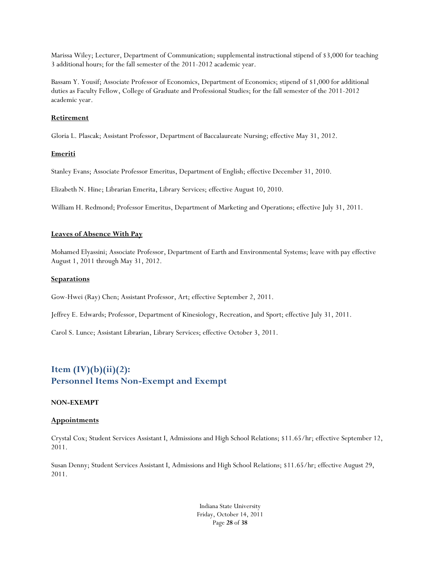Marissa Wiley; Lecturer, Department of Communication; supplemental instructional stipend of \$3,000 for teaching 3 additional hours; for the fall semester of the 2011-2012 academic year.

Bassam Y. Yousif; Associate Professor of Economics, Department of Economics; stipend of \$1,000 for additional duties as Faculty Fellow, College of Graduate and Professional Studies; for the fall semester of the 2011-2012 academic year.

#### **Retirement**

Gloria L. Plascak; Assistant Professor, Department of Baccalaureate Nursing; effective May 31, 2012.

### **Emeriti**

Stanley Evans; Associate Professor Emeritus, Department of English; effective December 31, 2010.

Elizabeth N. Hine; Librarian Emerita, Library Services; effective August 10, 2010.

William H. Redmond; Professor Emeritus, Department of Marketing and Operations; effective July 31, 2011.

### **Leaves of Absence With Pay**

Mohamed Elyassini; Associate Professor, Department of Earth and Environmental Systems; leave with pay effective August 1, 2011 through May 31, 2012.

#### **Separations**

Gow-Hwei (Ray) Chen; Assistant Professor, Art; effective September 2, 2011.

Jeffrey E. Edwards; Professor, Department of Kinesiology, Recreation, and Sport; effective July 31, 2011.

Carol S. Lunce; Assistant Librarian, Library Services; effective October 3, 2011.

# **Item (IV)(b)(ii)(2): Personnel Items Non-Exempt and Exempt**

### **NON-EXEMPT**

#### **Appointments**

Crystal Cox; Student Services Assistant I, Admissions and High School Relations; \$11.65/hr; effective September 12, 2011.

Susan Denny; Student Services Assistant I, Admissions and High School Relations; \$11.65/hr; effective August 29, 2011.

> Indiana State University Friday, October 14, 2011 Page **28** of **38**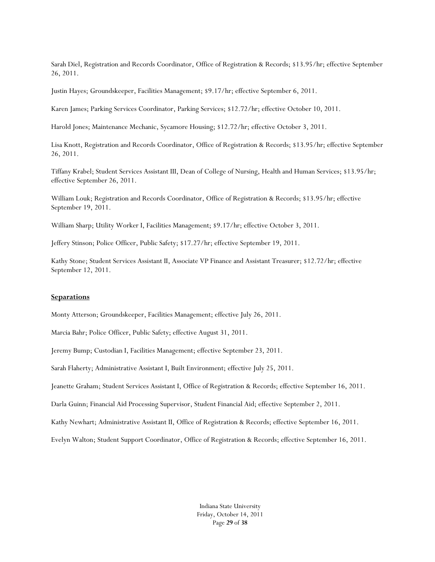Sarah Diel, Registration and Records Coordinator, Office of Registration & Records; \$13.95/hr; effective September 26, 2011.

Justin Hayes; Groundskeeper, Facilities Management; \$9.17/hr; effective September 6, 2011.

Karen James; Parking Services Coordinator, Parking Services; \$12.72/hr; effective October 10, 2011.

Harold Jones; Maintenance Mechanic, Sycamore Housing; \$12.72/hr; effective October 3, 2011.

Lisa Knott, Registration and Records Coordinator, Office of Registration & Records; \$13.95/hr; effective September 26, 2011.

Tiffany Krabel; Student Services Assistant III, Dean of College of Nursing, Health and Human Services; \$13.95/hr; effective September 26, 2011.

William Louk; Registration and Records Coordinator, Office of Registration & Records; \$13.95/hr; effective September 19, 2011.

William Sharp; Utility Worker I, Facilities Management; \$9.17/hr; effective October 3, 2011.

Jeffery Stinson; Police Officer, Public Safety; \$17.27/hr; effective September 19, 2011.

Kathy Stone; Student Services Assistant II, Associate VP Finance and Assistant Treasurer; \$12.72/hr; effective September 12, 2011.

#### **Separations**

Monty Atterson; Groundskeeper, Facilities Management; effective July 26, 2011.

Marcia Bahr; Police Officer, Public Safety; effective August 31, 2011.

Jeremy Bump; Custodian I, Facilities Management; effective September 23, 2011.

Sarah Flaherty; Administrative Assistant I, Built Environment; effective July 25, 2011.

Jeanette Graham; Student Services Assistant I, Office of Registration & Records; effective September 16, 2011.

Darla Guinn; Financial Aid Processing Supervisor, Student Financial Aid; effective September 2, 2011.

Kathy Newhart; Administrative Assistant II, Office of Registration & Records; effective September 16, 2011.

Evelyn Walton; Student Support Coordinator, Office of Registration & Records; effective September 16, 2011.

Indiana State University Friday, October 14, 2011 Page **29** of **38**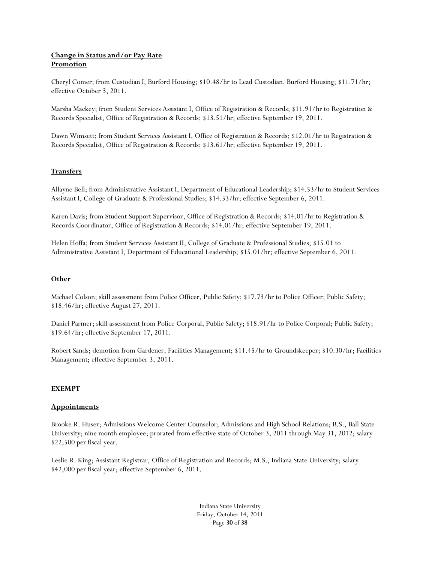### **Change in Status and/or Pay Rate Promotion**

Cheryl Comer; from Custodian I, Burford Housing; \$10.48/hr to Lead Custodian, Burford Housing; \$11.71/hr; effective October 3, 2011.

Marsha Mackey; from Student Services Assistant I, Office of Registration & Records; \$11.91/hr to Registration & Records Specialist, Office of Registration & Records; \$13.51/hr; effective September 19, 2011.

Dawn Wimsett; from Student Services Assistant I, Office of Registration & Records; \$12.01/hr to Registration & Records Specialist, Office of Registration & Records; \$13.61/hr; effective September 19, 2011.

### **Transfers**

Allayne Bell; from Administrative Assistant I, Department of Educational Leadership; \$14.53/hr to Student Services Assistant I, College of Graduate & Professional Studies; \$14.53/hr; effective September 6, 2011.

Karen Davis; from Student Support Supervisor, Office of Registration & Records; \$14.01/hr to Registration & Records Coordinator, Office of Registration & Records; \$14.01/hr; effective September 19, 2011.

Helen Hoffa; from Student Services Assistant II, College of Graduate & Professional Studies; \$15.01 to Administrative Assistant I, Department of Educational Leadership; \$15.01/hr; effective September 6, 2011.

### **Other**

Michael Colson; skill assessment from Police Officer, Public Safety; \$17.73/hr to Police Officer; Public Safety; \$18.46/hr; effective August 27, 2011.

Daniel Parmer; skill assessment from Police Corporal, Public Safety; \$18.91/hr to Police Corporal; Public Safety; \$19.64/hr; effective September 17, 2011.

Robert Sands; demotion from Gardener, Facilities Management; \$11.45/hr to Groundskeeper; \$10.30/hr; Facilities Management; effective September 3, 2011.

### **EXEMPT**

#### **Appointments**

Brooke R. Huser; Admissions Welcome Center Counselor; Admissions and High School Relations; B.S., Ball State University; nine month employee; prorated from effective state of October 3, 2011 through May 31, 2012; salary \$22,500 per fiscal year.

Leslie R. King; Assistant Registrar, Office of Registration and Records; M.S., Indiana State University; salary \$42,000 per fiscal year; effective September 6, 2011.

> Indiana State University Friday, October 14, 2011 Page **30** of **38**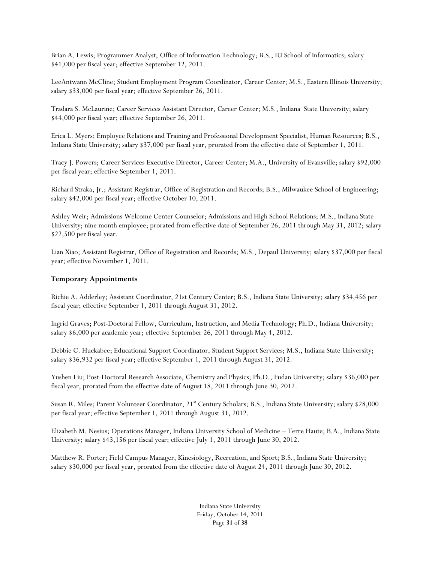Brian A. Lewis; Programmer Analyst, Office of Information Technology; B.S., IU School of Informatics; salary \$41,000 per fiscal year; effective September 12, 2011.

LeeAntwann McCline; Student Employment Program Coordinator, Career Center; M.S., Eastern Illinois University; salary \$33,000 per fiscal year; effective September 26, 2011.

Tradara S. McLaurine; Career Services Assistant Director, Career Center; M.S., Indiana State University; salary \$44,000 per fiscal year; effective September 26, 2011.

Erica L. Myers; Employee Relations and Training and Professional Development Specialist, Human Resources; B.S., Indiana State University; salary \$37,000 per fiscal year, prorated from the effective date of September 1, 2011.

Tracy J. Powers; Career Services Executive Director, Career Center; M.A., University of Evansville; salary \$92,000 per fiscal year; effective September 1, 2011.

Richard Straka, Jr.; Assistant Registrar, Office of Registration and Records; B.S., Milwaukee School of Engineering; salary \$42,000 per fiscal year; effective October 10, 2011.

Ashley Weir; Admissions Welcome Center Counselor; Admissions and High School Relations; M.S., Indiana State University; nine month employee; prorated from effective date of September 26, 2011 through May 31, 2012; salary \$22,500 per fiscal year.

Lian Xiao; Assistant Registrar, Office of Registration and Records; M.S., Depaul University; salary \$37,000 per fiscal year; effective November 1, 2011.

#### **Temporary Appointments**

Richie A. Adderley; Assistant Coordinator, 21st Century Center; B.S., Indiana State University; salary \$34,456 per fiscal year; effective September 1, 2011 through August 31, 2012.

Ingrid Graves; Post-Doctoral Fellow, Curriculum, Instruction, and Media Technology; Ph.D., Indiana University; salary \$6,000 per academic year; effective September 26, 2011 through May 4, 2012.

Debbie C. Huckabee; Educational Support Coordinator, Student Support Services; M.S., Indiana State University; salary \$36,932 per fiscal year; effective September 1, 2011 through August 31, 2012.

Yushen Liu; Post-Doctoral Research Associate, Chemistry and Physics; Ph.D., Fudan University; salary \$36,000 per fiscal year, prorated from the effective date of August 18, 2011 through June 30, 2012.

Susan R. Miles; Parent Volunteer Coordinator, 21<sup>st</sup> Century Scholars; B.S., Indiana State University; salary \$28,000 per fiscal year; effective September 1, 2011 through August 31, 2012.

Elizabeth M. Nesius; Operations Manager, Indiana University School of Medicine – Terre Haute; B.A., Indiana State University; salary \$43,156 per fiscal year; effective July 1, 2011 through June 30, 2012.

Matthew R. Porter; Field Campus Manager, Kinesiology, Recreation, and Sport; B.S., Indiana State University; salary \$30,000 per fiscal year, prorated from the effective date of August 24, 2011 through June 30, 2012.

> Indiana State University Friday, October 14, 2011 Page **31** of **38**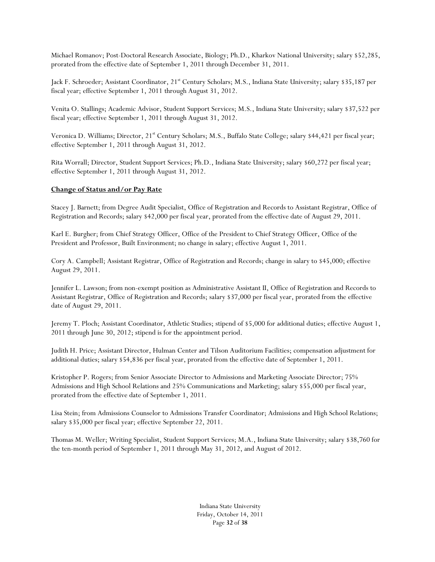Michael Romanov; Post-Doctoral Research Associate, Biology; Ph.D., Kharkov National University; salary \$52,285, prorated from the effective date of September 1, 2011 through December 31, 2011.

Jack F. Schroeder; Assistant Coordinator, 21<sup>st</sup> Century Scholars; M.S., Indiana State University; salary \$35,187 per fiscal year; effective September 1, 2011 through August 31, 2012.

Venita O. Stallings; Academic Advisor, Student Support Services; M.S., Indiana State University; salary \$37,522 per fiscal year; effective September 1, 2011 through August 31, 2012.

Veronica D. Williams; Director, 21<sup>st</sup> Century Scholars; M.S., Buffalo State College; salary \$44,421 per fiscal year; effective September 1, 2011 through August 31, 2012.

Rita Worrall; Director, Student Support Services; Ph.D., Indiana State University; salary \$60,272 per fiscal year; effective September 1, 2011 through August 31, 2012.

### **Change of Status and/or Pay Rate**

Stacey J. Barnett; from Degree Audit Specialist, Office of Registration and Records to Assistant Registrar, Office of Registration and Records; salary \$42,000 per fiscal year, prorated from the effective date of August 29, 2011.

Karl E. Burgher; from Chief Strategy Officer, Office of the President to Chief Strategy Officer, Office of the President and Professor, Built Environment; no change in salary; effective August 1, 2011.

Cory A. Campbell; Assistant Registrar, Office of Registration and Records; change in salary to \$45,000; effective August 29, 2011.

Jennifer L. Lawson; from non-exempt position as Administrative Assistant II, Office of Registration and Records to Assistant Registrar, Office of Registration and Records; salary \$37,000 per fiscal year, prorated from the effective date of August 29, 2011.

Jeremy T. Ploch; Assistant Coordinator, Athletic Studies; stipend of \$5,000 for additional duties; effective August 1, 2011 through June 30, 2012; stipend is for the appointment period.

Judith H. Price; Assistant Director, Hulman Center and Tilson Auditorium Facilities; compensation adjustment for additional duties; salary \$54,836 per fiscal year, prorated from the effective date of September 1, 2011.

Kristopher P. Rogers; from Senior Associate Director to Admissions and Marketing Associate Director; 75% Admissions and High School Relations and 25% Communications and Marketing; salary \$55,000 per fiscal year, prorated from the effective date of September 1, 2011.

Lisa Stein; from Admissions Counselor to Admissions Transfer Coordinator; Admissions and High School Relations; salary \$35,000 per fiscal year; effective September 22, 2011.

Thomas M. Weller; Writing Specialist, Student Support Services; M.A., Indiana State University; salary \$38,760 for the ten-month period of September 1, 2011 through May 31, 2012, and August of 2012.

> Indiana State University Friday, October 14, 2011 Page **32** of **38**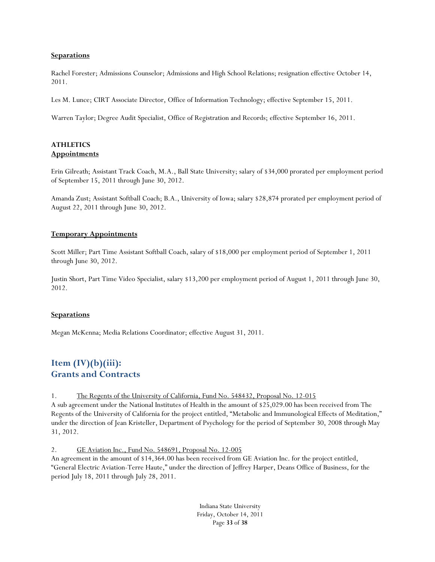#### **Separations**

Rachel Forester; Admissions Counselor; Admissions and High School Relations; resignation effective October 14, 2011.

Les M. Lunce; CIRT Associate Director, Office of Information Technology; effective September 15, 2011.

Warren Taylor; Degree Audit Specialist, Office of Registration and Records; effective September 16, 2011.

### **ATHLETICS Appointments**

Erin Gilreath; Assistant Track Coach, M.A., Ball State University; salary of \$34,000 prorated per employment period of September 15, 2011 through June 30, 2012.

Amanda Zust; Assistant Softball Coach; B.A., University of Iowa; salary \$28,874 prorated per employment period of August 22, 2011 through June 30, 2012.

#### **Temporary Appointments**

Scott Miller; Part Time Assistant Softball Coach, salary of \$18,000 per employment period of September 1, 2011 through June 30, 2012.

Justin Short, Part Time Video Specialist, salary \$13,200 per employment period of August 1, 2011 through June 30, 2012.

#### **Separations**

Megan McKenna; Media Relations Coordinator; effective August 31, 2011.

# **Item (IV)(b)(iii): Grants and Contracts**

#### 1. The Regents of the University of California, Fund No. 548432, Proposal No. 12-015

A sub agreement under the National Institutes of Health in the amount of \$25,029.00 has been received from The Regents of the University of California for the project entitled, "Metabolic and Immunological Effects of Meditation," under the direction of Jean Kristeller, Department of Psychology for the period of September 30, 2008 through May 31, 2012.

#### 2. GE Aviation Inc., Fund No. 548691, Proposal No. 12-005

An agreement in the amount of \$14,364.00 has been received from GE Aviation Inc. for the project entitled, "General Electric Aviation-Terre Haute," under the direction of Jeffrey Harper, Deans Office of Business, for the period July 18, 2011 through July 28, 2011.

> Indiana State University Friday, October 14, 2011 Page **33** of **38**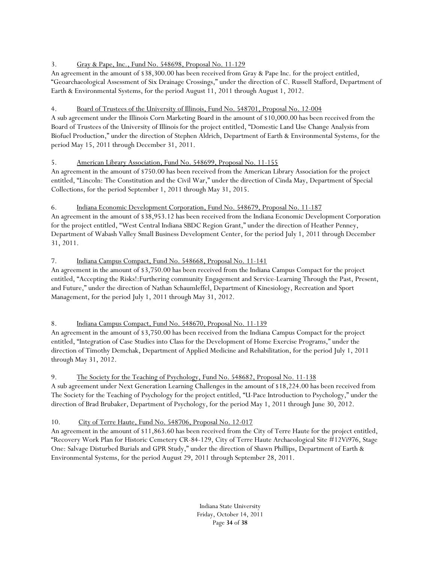## 3. Gray & Pape, Inc., Fund No. 548698, Proposal No. 11-129

An agreement in the amount of \$38,300.00 has been received from Gray & Pape Inc. for the project entitled, "Geoarchaeological Assessment of Six Drainage Crossings," under the direction of C. Russell Stafford, Department of Earth & Environmental Systems, for the period August 11, 2011 through August 1, 2012.

## 4. Board of Trustees of the University of Illinois, Fund No. 548701, Proposal No. 12-004

A sub agreement under the Illinois Corn Marketing Board in the amount of \$10,000.00 has been received from the Board of Trustees of the University of Illinois for the project entitled, "Domestic Land Use Change Analysis from Biofuel Production," under the direction of Stephen Aldrich, Department of Earth & Environmental Systems, for the period May 15, 2011 through December 31, 2011.

## 5. American Library Association, Fund No. 548699, Proposal No. 11-155

An agreement in the amount of \$750.00 has been received from the American Library Association for the project entitled, "Lincoln: The Constitution and the Civil War," under the direction of Cinda May, Department of Special Collections, for the period September 1, 2011 through May 31, 2015.

## 6. Indiana Economic Development Corporation, Fund No. 548679, Proposal No. 11-187

An agreement in the amount of \$38,953.12 has been received from the Indiana Economic Development Corporation for the project entitled, "West Central Indiana SBDC Region Grant," under the direction of Heather Penney, Department of Wabash Valley Small Business Development Center, for the period July 1, 2011 through December 31, 2011.

## 7. Indiana Campus Compact, Fund No. 548668, Proposal No. 11-141

An agreement in the amount of \$3,750.00 has been received from the Indiana Campus Compact for the project entitled, "Accepting the Risks!:Furthering community Engagement and Service-Learning Through the Past, Present, and Future," under the direction of Nathan Schaumleffel, Department of Kinesiology, Recreation and Sport Management, for the period July 1, 2011 through May 31, 2012.

### 8. Indiana Campus Compact, Fund No. 548670, Proposal No. 11-139

An agreement in the amount of \$3,750.00 has been received from the Indiana Campus Compact for the project entitled, "Integration of Case Studies into Class for the Development of Home Exercise Programs," under the direction of Timothy Demchak, Department of Applied Medicine and Rehabilitation, for the period July 1, 2011 through May 31, 2012.

### 9. The Society for the Teaching of Psychology, Fund No. 548682, Proposal No. 11-138

A sub agreement under Next Generation Learning Challenges in the amount of \$18,224.00 has been received from The Society for the Teaching of Psychology for the project entitled, "U-Pace Introduction to Psychology," under the direction of Brad Brubaker, Department of Psychology, for the period May 1, 2011 through June 30, 2012.

## 10. City of Terre Haute, Fund No. 548706, Proposal No. 12-017

An agreement in the amount of \$11,863.60 has been received from the City of Terre Haute for the project entitled, "Recovery Work Plan for Historic Cemetery CR-84-129, City of Terre Haute Archaeological Site #12Vi976, Stage One: Salvage Disturbed Burials and GPR Study," under the direction of Shawn Phillips, Department of Earth & Environmental Systems, for the period August 29, 2011 through September 28, 2011.

> Indiana State University Friday, October 14, 2011 Page **34** of **38**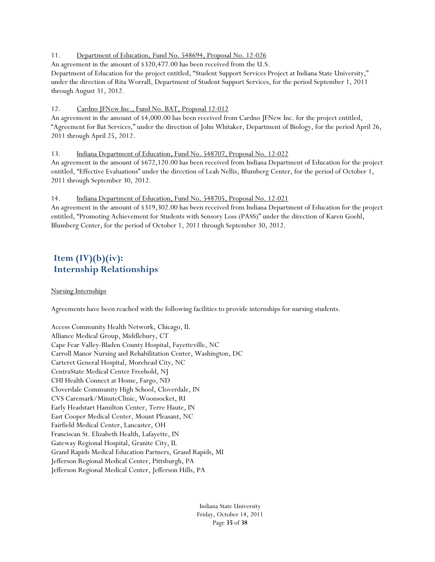#### 11. Department of Education, Fund No. 548694, Proposal No. 12-026

An agreement in the amount of \$320,477.00 has been received from the U.S.

Department of Education for the project entitled, "Student Support Services Project at Indiana State University," under the direction of Rita Worrall, Department of Student Support Services, for the period September 1, 2011 through August 31, 2012.

#### 12. Cardno JFNew Inc., Fund No. BAT, Proposal 12-012

An agreement in the amount of \$4,000.00 has been received from Cardno JFNew Inc. for the project entitled, "Agreement for Bat Services," under the direction of John Whitaker, Department of Biology, for the period April 26, 2011 through April 25, 2012.

13. Indiana Department of Education, Fund No. 548707, Proposal No. 12-022

An agreement in the amount of \$672,120.00 has been received from Indiana Department of Education for the project entitled, "Effective Evaluations" under the direction of Leah Nellis, Blumberg Center, for the period of October 1, 2011 through September 30, 2012.

14. Indiana Department of Education, Fund No. 548705, Proposal No. 12-021

An agreement in the amount of \$319,302.00 has been received from Indiana Department of Education for the project entitled, "Promoting Achievement for Students with Sensory Loss (PASS)" under the direction of Karen Goehl, Blumberg Center, for the period of October 1, 2011 through September 30, 2012.

# **Item (IV)(b)(iv): Internship Relationships**

### Nursing Internships

Agreements have been reached with the following facilities to provide internships for nursing students.

Access Community Health Network, Chicago, IL Alliance Medical Group, Middlebury, CT Cape Fear Valley-Bladen County Hospital, Fayetteville, NC Carroll Manor Nursing and Rehabilitation Center, Washington, DC Carteret General Hospital, Morehead City, NC CentraState Medical Center Freehold, NJ CHI Health Connect at Home, Fargo, ND Cloverdale Community High School, Cloverdale, IN CVS Caremark/MinuteClinic, Woonsocket, RI Early Headstart Hamilton Center, Terre Haute, IN East Cooper Medical Center, Mount Pleasant, NC Fairfield Medical Center, Lancaster, OH Franciscan St. Elizabeth Health, Lafayette, IN Gateway Regional Hospital, Granite City, IL Grand Rapids Medical Education Partners, Grand Rapids, MI Jefferson Regional Medical Center, Pittsburgh, PA Jefferson Regional Medical Center, Jefferson Hills, PA

> Indiana State University Friday, October 14, 2011 Page **35** of **38**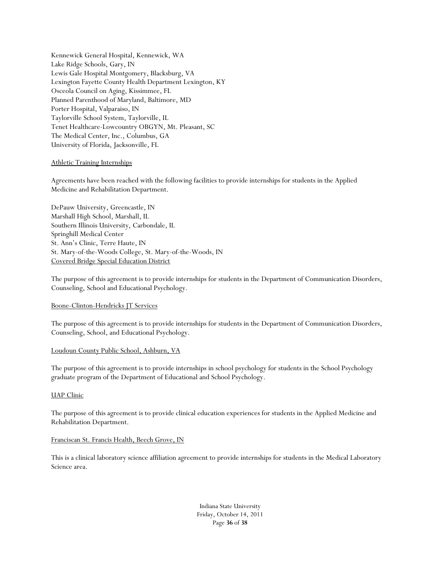Kennewick General Hospital, Kennewick, WA Lake Ridge Schools, Gary, IN Lewis Gale Hospital Montgomery, Blacksburg, VA Lexington Fayette County Health Department Lexington, KY Osceola Council on Aging, Kissimmee, FL Planned Parenthood of Maryland, Baltimore, MD Porter Hospital, Valparaiso, IN Taylorville School System, Taylorville, IL Tenet Healthcare-Lowcountry OBGYN, Mt. Pleasant, SC The Medical Center, Inc., Columbus, GA University of Florida, Jacksonville, FL

### Athletic Training Internships

Agreements have been reached with the following facilities to provide internships for students in the Applied Medicine and Rehabilitation Department.

DePauw University, Greencastle, IN Marshall High School, Marshall, IL Southern Illinois University, Carbondale, IL Springhill Medical Center St. Ann's Clinic, Terre Haute, IN St. Mary-of-the-Woods College, St. Mary-of-the-Woods, IN Covered Bridge Special Education District

The purpose of this agreement is to provide internships for students in the Department of Communication Disorders, Counseling, School and Educational Psychology.

#### Boone-Clinton-Hendricks JT Services

The purpose of this agreement is to provide internships for students in the Department of Communication Disorders, Counseling, School, and Educational Psychology.

#### Loudoun County Public School, Ashburn, VA

The purpose of this agreement is to provide internships in school psychology for students in the School Psychology graduate program of the Department of Educational and School Psychology.

#### UAP Clinic

The purpose of this agreement is to provide clinical education experiences for students in the Applied Medicine and Rehabilitation Department.

#### Franciscan St. Francis Health, Beech Grove, IN

This is a clinical laboratory science affiliation agreement to provide internships for students in the Medical Laboratory Science area.

> Indiana State University Friday, October 14, 2011 Page **36** of **38**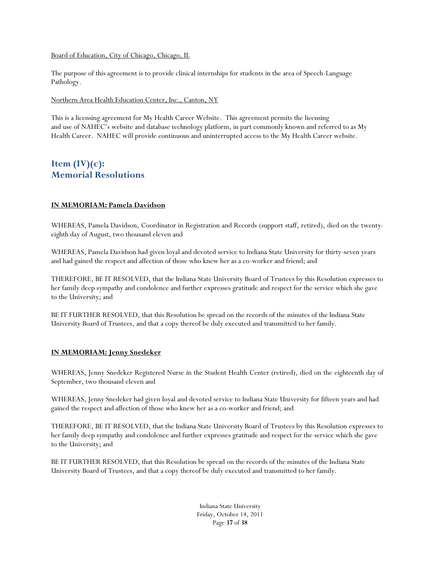#### Board of Education, City of Chicago, Chicago, IL

The purpose of this agreement is to provide clinical internships for students in the area of Speech-Language Pathology.

Northern Area Health Education Center, Inc., Canton, NY

This is a licensing agreement for My Health Career Website. This agreement permits the licensing and use of NAHEC's website and database technology platform, in part commonly known and referred to as My Health Career. NAHEC will provide continuous and uninterrupted access to the My Health Career website.

## $Item (IV)(c):$ **Memorial Resolutions**

### **IN MEMORIAM: Pamela Davidson**

WHEREAS, Pamela Davidson, Coordinator in Registration and Records (support staff, retired), died on the twentyeighth day of August, two thousand eleven and

WHEREAS, Pamela Davidson had given loyal and devoted service to Indiana State University for thirty-seven years and had gained the respect and affection of those who knew her as a co-worker and friend; and

THEREFORE, BE IT RESOLVED, that the Indiana State University Board of Trustees by this Resolution expresses to her family deep sympathy and condolence and further expresses gratitude and respect for the service which she gave to the University; and

BE IT FURTHER RESOLVED, that this Resolution be spread on the records of the minutes of the Indiana State University Board of Trustees, and that a copy thereof be duly executed and transmitted to her family.

#### **IN MEMORIAM: Jenny Snedeker**

WHEREAS, Jenny Snedeker Registered Nurse in the Student Health Center (retired), died on the eighteenth day of September, two thousand eleven and

WHEREAS, Jenny Snedeker had given loyal and devoted service to Indiana State University for fifteen years and had gained the respect and affection of those who knew her as a co-worker and friend; and

THEREFORE, BE IT RESOLVED, that the Indiana State University Board of Trustees by this Resolution expresses to her family deep sympathy and condolence and further expresses gratitude and respect for the service which she gave to the University; and

BE IT FURTHER RESOLVED, that this Resolution be spread on the records of the minutes of the Indiana State University Board of Trustees, and that a copy thereof be duly executed and transmitted to her family.

> Indiana State University Friday, October 14, 2011 Page **37** of **38**